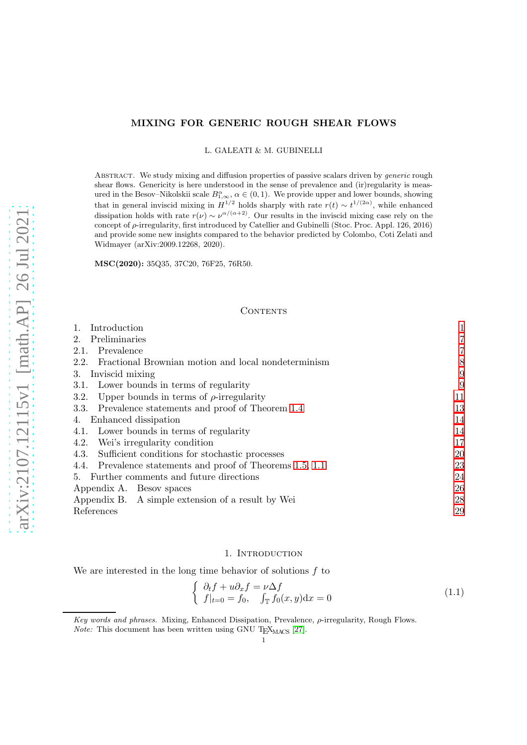# MIXING FOR GENERIC ROUGH SHEAR FLOWS

L. GALEATI & M. GUBINELLI

ABSTRACT. We study mixing and diffusion properties of passive scalars driven by *generic* rough shear flows. Genericity is here understood in the sense of prevalence and (ir)regularity is measured in the Besov–Nikolskii scale  $B_{1,\infty}^{\alpha}$ ,  $\alpha \in (0,1)$ . We provide upper and lower bounds, showing that in general inviscid mixing in  $H^{1/2}$  holds sharply with rate  $r(t) \sim t^{1/(2\alpha)}$ , while enhanced dissipation holds with rate  $r(\nu) \sim \nu^{\alpha/(\alpha+2)}$ . Our results in the inviscid mixing case rely on the concept of ρ-irregularity, first introduced by Catellier and Gubinelli (Stoc. Proc. Appl. 126, 2016) and provide some new insights compared to the behavior predicted by Colombo, Coti Zelati and Widmayer (arXiv:2009.12268, 2020).

MSC(2020): 35Q35, 37C20, 76F25, 76R50.

## CONTENTS

| Introduction<br>1.                                          |    |
|-------------------------------------------------------------|----|
| Preliminaries<br>$2_{-}$                                    | 7  |
| Prevalence<br>2.1.                                          | 7  |
| 2.2.<br>Fractional Brownian motion and local nondeterminism | 8  |
| Inviscid mixing<br>3.                                       | 9  |
| 3.1. Lower bounds in terms of regularity                    | 9  |
| Upper bounds in terms of $\rho$ -irregularity<br>3.2.       | 11 |
| Prevalence statements and proof of Theorem 1.4<br>3.3.      | 13 |
| Enhanced dissipation<br>4.                                  | 14 |
| 4.1. Lower bounds in terms of regularity                    | 14 |
| Wei's irregularity condition<br>4.2.                        | 17 |
| 4.3.<br>Sufficient conditions for stochastic processes      | 20 |
| 4.4. Prevalence statements and proof of Theorems 1.5, 1.1   | 23 |
| 5. Further comments and future directions                   | 24 |
| Appendix A. Besov spaces                                    | 26 |
| Appendix B. A simple extension of a result by Wei           | 28 |
| References                                                  | 29 |

### 1. INTRODUCTION

<span id="page-0-0"></span>We are interested in the long time behavior of solutions  $f$  to

<span id="page-0-1"></span>
$$
\begin{cases}\n\partial_t f + u \partial_x f = \nu \Delta f \\
f|_{t=0} = f_0, \quad \int_{\mathbb{T}} f_0(x, y) dx = 0\n\end{cases}
$$
\n(1.1)

Key words and phrases. Mixing, Enhanced Dissipation, Prevalence,  $\rho$ -irregularity, Rough Flows.

*Note:* This document has been written using GNU T<sub>E</sub>X<sub>MACS</sub> [\[27\]](#page-29-0).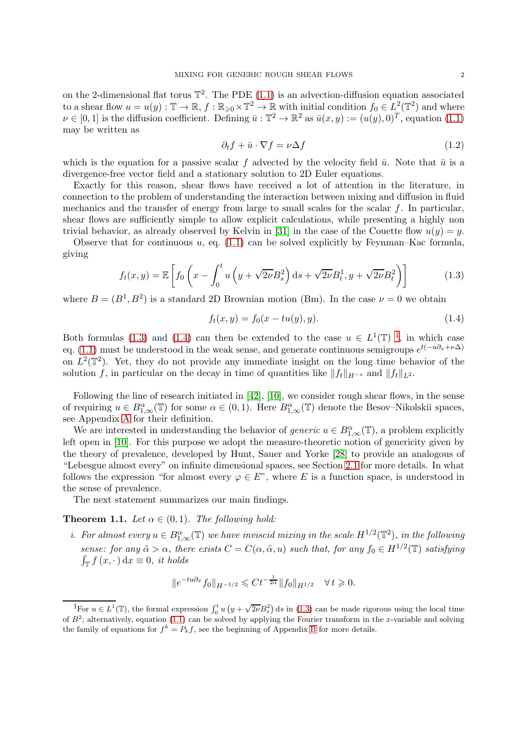on the 2-dimensional flat torus  $\mathbb{T}^2$ . The PDE [\(1.1\)](#page-0-1) is an advection-diffusion equation associated to a shear flow  $u = u(y) : \mathbb{T} \to \mathbb{R}$ ,  $f : \mathbb{R}_{\geqslant 0} \times \mathbb{T}^2 \to \mathbb{R}$  with initial condition  $f_0 \in L^2(\mathbb{T}^2)$  and where  $\nu \in [0,1]$  is the diffusion coefficient. Defining  $\bar{u}: \mathbb{T}^2 \to \mathbb{R}^2$  as  $\bar{u}(x,y) := (u(y),0)^T$ , equation  $(1.1)$ may be written as

<span id="page-1-4"></span>
$$
\partial_t f + \bar{u} \cdot \nabla f = \nu \Delta f \tag{1.2}
$$

which is the equation for a passive scalar f advected by the velocity field  $\bar{u}$ . Note that  $\bar{u}$  is a divergence-free vector field and a stationary solution to 2D Euler equations.

Exactly for this reason, shear flows have received a lot of attention in the literature, in connection to the problem of understanding the interaction between mixing and diffusion in fluid mechanics and the transfer of energy from large to small scales for the scalar  $f$ . In particular, shear flows are sufficiently simple to allow explicit calculations, while presenting a highly non trivial behavior, as already observed by Kelvin in [\[31\]](#page-29-1) in the case of the Couette flow  $u(y) = y$ .

Observe that for continuous  $u$ , eq. [\(1.1\)](#page-0-1) can be solved explicitly by Feynman–Kac formula, giving

<span id="page-1-1"></span>
$$
f_t(x,y) = \mathbb{E}\left[f_0\left(x - \int_0^t u\left(y + \sqrt{2\nu}B_s^2\right)ds + \sqrt{2\nu}B_t^1, y + \sqrt{2\nu}B_t^2\right)\right]
$$
(1.3)

where  $B = (B^1, B^2)$  is a standard 2D Brownian motion (Bm). In the case  $\nu = 0$  we obtain

<span id="page-1-2"></span>
$$
f_t(x, y) = f_0(x - tu(y), y).
$$
 (1.4)

Both formulas [\(1.3\)](#page-1-1) and [\(1.4\)](#page-1-2) can then be extended to the case  $u \in L^1(\mathbb{T})$  $u \in L^1(\mathbb{T})$  $u \in L^1(\mathbb{T})$ <sup>1</sup>, in which case eq. [\(1.1\)](#page-0-1) must be understood in the weak sense, and generate continuous semigroups  $e^{t(-u\partial_x + \nu\Delta)}$ on  $L^2(\mathbb{T}^2)$ . Yet, they do not provide any immediate insight on the long time behavior of the solution f, in particular on the decay in time of quantities like  $||f_t||_{H^{-s}}$  and  $||f_t||_{L^2}$ .

Following the line of research initiated in [\[42\]](#page-29-2), [\[10\]](#page-28-1), we consider rough shear flows, in the sense of requiring  $u \in B^{\alpha}_{1,\infty}(\mathbb{T})$  for some  $\alpha \in (0,1)$ . Here  $B^{\alpha}_{1,\infty}(\mathbb{T})$  denote the Besov–Nikolskii spaces, see Appendix [A](#page-25-0) for their definition.

We are interested in understanding the behavior of *generic*  $u \in B^{\alpha}_{1,\infty}(\mathbb{T})$ , a problem explicitly left open in [\[10\]](#page-28-1). For this purpose we adopt the measure-theoretic notion of genericity given by the theory of prevalence, developed by Hunt, Sauer and Yorke [\[28\]](#page-29-3) to provide an analogous of "Lebesgue almost every" on infinite dimensional spaces, see Section [2.1](#page-6-1) for more details. In what follows the expression "for almost every  $\varphi \in E$ ", where E is a function space, is understood in the sense of prevalence.

The next statement summarizes our main findings.

## <span id="page-1-0"></span>**Theorem 1.1.** Let  $\alpha \in (0,1)$ . The following hold:

*i.* For almost every  $u \in B^{\alpha}_{1,\infty}(\mathbb{T})$  we have inviscid mixing in the scale  $H^{1/2}(\mathbb{T}^2)$ , in the following sense: for any  $\tilde{\alpha} > \alpha$ , there exists  $C = C(\alpha, \tilde{\alpha}, u)$  such that, for any  $f_0 \in H^{1/2}(\mathbb{T})$  satisfying  $\int_{\mathbb{T}} f(x, \cdot) dx \equiv 0$ , it holds

$$
||e^{-tu\partial_x} f_0||_{H^{-1/2}} \leq C t^{-\frac{1}{2\tilde{\alpha}}} ||f_0||_{H^{1/2}} \quad \forall \, t \geq 0.
$$

<span id="page-1-3"></span><sup>&</sup>lt;sup>1</sup>For  $u \in L^1(\mathbb{T})$ , the formal expression  $\int_0^t u (y + \sqrt{2\nu} B_s^2) ds$  in [\(1.3\)](#page-1-1) can be made rigorous using the local time of  $B^2$ ; alternatively, equation [\(1.1\)](#page-0-1) can be solved by applying the Fourier transform in the x-variable and solving the family of equations for  $f^k = P_k f$ , see the beginning of Appendix [B](#page-27-0) for more details.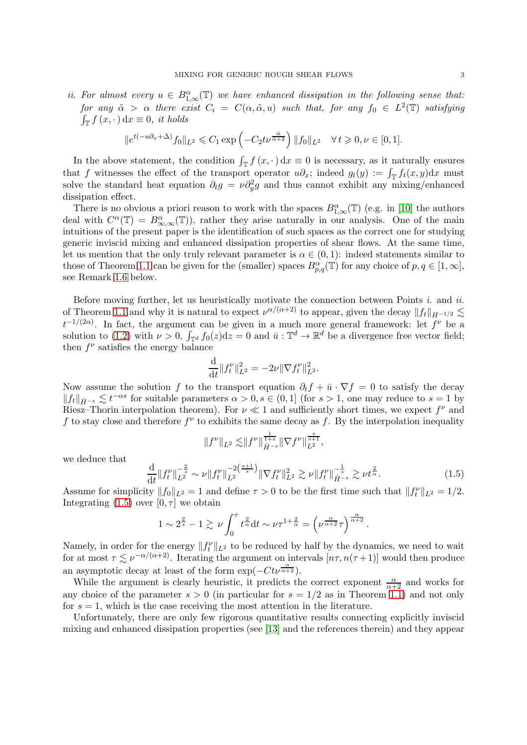ii. For almost every  $u \in B^{\alpha}_{1,\infty}(\mathbb{T})$  we have enhanced dissipation in the following sense that: for any  $\tilde{\alpha} > \alpha$  there exist  $C_i = C(\alpha, \tilde{\alpha}, u)$  such that, for any  $f_0 \in L^2(\mathbb{T})$  satisfying  $\int_{\mathbb{T}} f(x, \cdot) dx \equiv 0$ , it holds

$$
\|e^{t(-u\partial_x+\Delta)}f_0\|_{L^2}\leqslant C_1\exp\left(-C_2t\nu^{\frac{\tilde\alpha}{\tilde\alpha+2}}\right)\|f_0\|_{L^2}\quad\forall\,t\geqslant 0,\nu\in[0,1].
$$

In the above statement, the condition  $\int_{\mathbb{T}} f(x, \cdot) dx \equiv 0$  is necessary, as it naturally ensures that f witnesses the effect of the transport operator  $u\partial_x$ ; indeed  $g_t(y) := \int_{\mathbb{T}} f_t(x, y) dx$  must solve the standard heat equation  $\partial_t g = \nu \partial_y^2 g$  and thus cannot exhibit any mixing/enhanced dissipation effect.

There is no obvious a priori reason to work with the spaces  $B_{1,\infty}^{\alpha}(\mathbb{T})$  (e.g. in [\[10\]](#page-28-1) the authors deal with  $C^{\alpha}(\mathbb{T}) = B^{\alpha}_{\infty,\infty}(\mathbb{T})$ , rather they arise naturally in our analysis. One of the main intuitions of the present paper is the identification of such spaces as the correct one for studying generic inviscid mixing and enhanced dissipation properties of shear flows. At the same time, let us mention that the only truly relevant parameter is  $\alpha \in (0,1)$ : indeed statements similar to those of Theorem [1.1](#page-1-0) can be given for the (smaller) spaces  $B_{p,q}^{\alpha}(\mathbb{T})$  for any choice of  $p, q \in [1, \infty]$ , see Remark [1.6](#page-5-1) below.

Before moving further, let us heuristically motivate the connection between Points  $i$ . and  $ii$ . of Theorem [1.1](#page-1-0) and why it is natural to expect  $\nu^{\alpha/(\alpha+2)}$  to appear, given the decay  $||f_t||_{H^{-1/2}} \lesssim$  $t^{-1/(2\alpha)}$ . In fact, the argument can be given in a much more general framework: let  $f^{\nu}$  be a solution to [\(1.2\)](#page-1-4) with  $\nu > 0$ ,  $\int_{\mathbb{T}^d} f_0(z) dz = 0$  and  $\bar{u} : \mathbb{T}^d \to \mathbb{R}^d$  be a divergence free vector field; then  $f^{\nu}$  satisfies the energy balance

$$
\frac{\mathrm{d}}{\mathrm{d}t} \|f_t^{\nu}\|_{L^2}^2 = -2\nu \|\nabla f_t^{\nu}\|_{L^2}^2.
$$

Now assume the solution f to the transport equation  $\partial_t f + \bar{u} \cdot \nabla f = 0$  to satisfy the decay  $||f_t||_{\dot{H}^{-s}} \lesssim t^{-\alpha s}$  for suitable parameters  $\alpha > 0, s \in (0, 1]$  (for  $s > 1$ , one may reduce to  $s = 1$  by Riesz–Thorin interpolation theorem). For  $\nu \ll 1$  and sufficiently short times, we expect  $f^{\nu}$  and f to stay close and therefore  $f^{\nu}$  to exhibits the same decay as f. By the interpolation inequality

$$
||f^{\nu}||_{L^{2}} \lesssim ||f^{\nu}||_{\dot{H}^{-s}}^{\frac{1}{1+s}} ||\nabla f^{\nu}||_{L^{2}}^{\frac{s}{s+1}}
$$

we deduce that

<span id="page-2-0"></span>
$$
\frac{\mathrm{d}}{\mathrm{d}t} \|f_t^{\nu}\|_{L^2}^{-\frac{2}{s}} \sim \nu \|f_t^{\nu}\|_{L^2}^{-2\left(\frac{s+1}{s}\right)} \|\nabla f_t^{\nu}\|_{L^2}^2 \gtrsim \nu \|f_t^{\nu}\|_{\dot{H}^{-s}}^{-\frac{1}{s}} \gtrsim \nu t^{\frac{2}{\alpha}}.
$$
\n(1.5)

,

.

Assume for simplicity  $||f_0||_{L^2} = 1$  and define  $\tau > 0$  to be the first time such that  $||f_t^{\nu}||_{L^2} = 1/2$ . Integrating  $(1.5)$  over  $[0, \tau]$  we obtain

$$
1 \sim 2^{\frac{2}{s}} - 1 \gtrsim \nu \int_0^{\tau} t^{\frac{2}{\alpha}} dt \sim \nu \tau^{1 + \frac{2}{\alpha}} = \left(\nu^{\frac{\alpha}{\alpha + 2}} \tau\right)^{\frac{\alpha}{\alpha + 2}}
$$

Namely, in order for the energy  $||f_t^{\nu}||_{L^2}$  to be reduced by half by the dynamics, we need to wait for at most  $\tau \lesssim \nu^{-\alpha/(\alpha+2)}$ . Iterating the argument on intervals  $[n\tau, n(\tau+1)]$  would then produce an asymptotic decay at least of the form  $\exp(-C t \nu^{\frac{\alpha}{\alpha+2}})$ .

While the argument is clearly heuristic, it predicts the correct exponent  $\frac{\alpha}{\alpha+2}$  and works for any choice of the parameter  $s > 0$  (in particular for  $s = 1/2$  as in Theorem [1.1\)](#page-1-0) and not only for  $s = 1$ , which is the case receiving the most attention in the literature.

Unfortunately, there are only few rigorous quantitative results connecting explicitly inviscid mixing and enhanced dissipation properties (see [\[13\]](#page-28-2) and the references therein) and they appear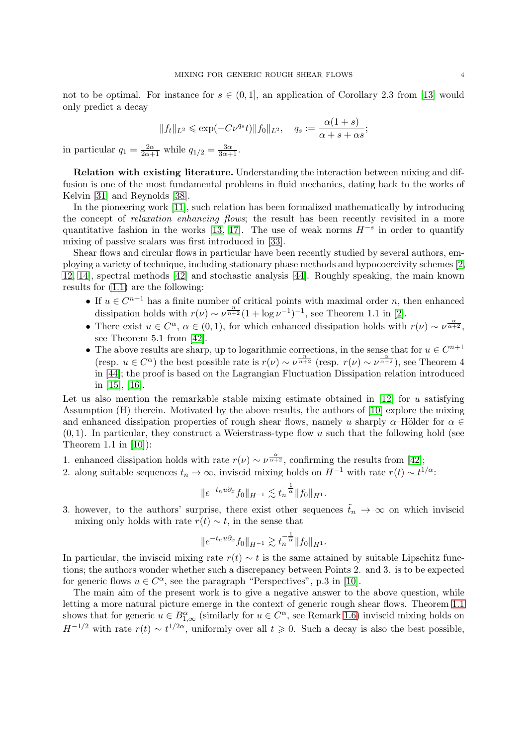not to be optimal. For instance for  $s \in (0,1]$ , an application of Corollary 2.3 from [\[13\]](#page-28-2) would only predict a decay

$$
||f_t||_{L^2} \le \exp(-C\nu^{q_s}t)||f_0||_{L^2}, \quad q_s := \frac{\alpha(1+s)}{\alpha+s+\alpha s};
$$

in particular  $q_1 = \frac{2\alpha}{2\alpha+1}$  while  $q_{1/2} = \frac{3\alpha}{3\alpha+1}$ .

Relation with existing literature. Understanding the interaction between mixing and diffusion is one of the most fundamental problems in fluid mechanics, dating back to the works of Kelvin [\[31\]](#page-29-1) and Reynolds [\[38\]](#page-29-4).

In the pioneering work [\[11\]](#page-28-3), such relation has been formalized mathematically by introducing the concept of *relaxation enhancing flows*; the result has been recently revisited in a more quantitative fashion in the works [\[13,](#page-28-2) [17\]](#page-28-4). The use of weak norms  $H^{-s}$  in order to quantify mixing of passive scalars was first introduced in [\[33\]](#page-29-5).

Shear flows and circular flows in particular have been recently studied by several authors, employing a variety of technique, including stationary phase methods and hypocoercivity schemes [\[2,](#page-28-5) [12,](#page-28-6) [14\]](#page-28-7), spectral methods [\[42\]](#page-29-2) and stochastic analysis [\[44\]](#page-29-6). Roughly speaking, the main known results for [\(1.1\)](#page-0-1) are the following:

- If  $u \in C^{n+1}$  has a finite number of critical points with maximal order n, then enhanced dissipation holds with  $r(\nu) \sim \nu^{\frac{n}{n+2}} (1 + \log \nu^{-1})^{-1}$ , see Theorem 1.1 in [\[2\]](#page-28-5).
- There exist  $u \in C^{\alpha}$ ,  $\alpha \in (0,1)$ , for which enhanced dissipation holds with  $r(\nu) \sim \nu^{\frac{\alpha}{\alpha+2}}$ , see Theorem 5.1 from [\[42\]](#page-29-2).
- The above results are sharp, up to logarithmic corrections, in the sense that for  $u \in C^{n+1}$ (resp.  $u \in C^{\alpha}$ ) the best possible rate is  $r(\nu) \sim \nu^{\frac{n}{n+2}}$  (resp.  $r(\nu) \sim \nu^{\frac{\alpha}{\alpha+2}}$ ), see Theorem 4 in [\[44\]](#page-29-6); the proof is based on the Lagrangian Fluctuation Dissipation relation introduced in [\[15\]](#page-28-8), [\[16\]](#page-28-9).

Let us also mention the remarkable stable mixing estimate obtained in [\[12\]](#page-28-6) for u satisfying Assumption (H) therein. Motivated by the above results, the authors of [\[10\]](#page-28-1) explore the mixing and enhanced dissipation properties of rough shear flows, namely u sharply  $\alpha$ –Hölder for  $\alpha \in$  $(0, 1)$ . In particular, they construct a Weierstrass-type flow u such that the following hold (see Theorem 1.1 in [\[10\]](#page-28-1)):

- 1. enhanced dissipation holds with rate  $r(\nu) \sim \nu^{\frac{\alpha}{\alpha+2}}$ , confirming the results from [\[42\]](#page-29-2);
- 2. along suitable sequences  $t_n \to \infty$ , inviscid mixing holds on  $H^{-1}$  with rate  $r(t) \sim t^{1/\alpha}$ .

$$
||e^{-t_n u \partial_x} f_0||_{H^{-1}} \lesssim t_n^{-\frac{1}{\alpha}} ||f_0||_{H^1}.
$$

3. however, to the authors' surprise, there exist other sequences  $\tilde{t}_n \to \infty$  on which inviscid mixing only holds with rate  $r(t) \sim t$ , in the sense that

$$
||e^{-t_n u \partial_x} f_0||_{H^{-1}} \gtrsim t_n^{-\frac{1}{\alpha}} ||f_0||_{H^1}.
$$

In particular, the inviscid mixing rate  $r(t) \sim t$  is the same attained by suitable Lipschitz functions; the authors wonder whether such a discrepancy between Points 2. and 3. is to be expected for generic flows  $u \in C^{\alpha}$ , see the paragraph "Perspectives", p.3 in [\[10\]](#page-28-1).

The main aim of the present work is to give a negative answer to the above question, while letting a more natural picture emerge in the context of generic rough shear flows. Theorem [1.1](#page-1-0) shows that for generic  $u \in B^{\alpha}_{1,\infty}$  (similarly for  $u \in C^{\alpha}$ , see Remark [1.6\)](#page-5-1) inviscid mixing holds on  $H^{-1/2}$  with rate  $r(t) \sim t^{1/2\alpha}$ , uniformly over all  $t \geq 0$ . Such a decay is also the best possible,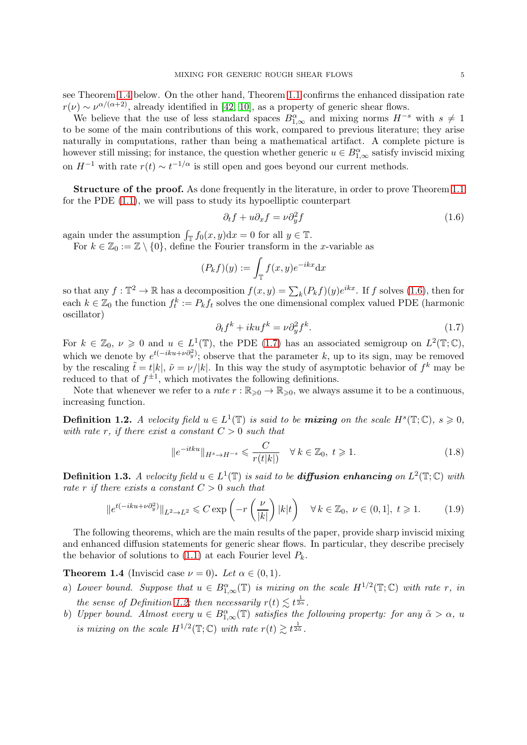see Theorem [1.4](#page-4-0) below. On the other hand, Theorem [1.1](#page-1-0) confirms the enhanced dissipation rate  $r(\nu) \sim \nu^{\alpha/(\alpha+2)}$ , already identified in [\[42,](#page-29-2) [10\]](#page-28-1), as a property of generic shear flows.

We believe that the use of less standard spaces  $B_{1,\infty}^{\alpha}$  and mixing norms  $H^{-s}$  with  $s \neq 1$ to be some of the main contributions of this work, compared to previous literature; they arise naturally in computations, rather than being a mathematical artifact. A complete picture is however still missing; for instance, the question whether generic  $u \in B^{\alpha}_{1,\infty}$  satisfy inviscid mixing on  $H^{-1}$  with rate  $r(t) \sim t^{-1/\alpha}$  is still open and goes beyond our current methods.

**Structure of the proof.** As done frequently in the literature, in order to prove Theorem [1.1](#page-1-0) for the PDE [\(1.1\)](#page-0-1), we will pass to study its hypoelliptic counterpart

<span id="page-4-1"></span>
$$
\partial_t f + u \partial_x f = \nu \partial_y^2 f \tag{1.6}
$$

again under the assumption  $\int_{\mathbb{T}} f_0(x, y) dx = 0$  for all  $y \in \mathbb{T}$ .

For  $k \in \mathbb{Z}_0 := \mathbb{Z} \setminus \{0\}$ , define the Fourier transform in the x-variable as

$$
(P_k f)(y) := \int_{\mathbb{T}} f(x, y) e^{-ikx} dx
$$

so that any  $f: \mathbb{T}^2 \to \mathbb{R}$  has a decomposition  $f(x, y) = \sum_k (P_k f)(y) e^{ikx}$ . If f solves [\(1.6\)](#page-4-1), then for each  $k \in \mathbb{Z}_0$  the function  $f_t^k := P_k f_t$  solves the one dimensional complex valued PDE (harmonic oscillator)

<span id="page-4-2"></span>
$$
\partial_t f^k + ikuf^k = \nu \partial_y^2 f^k. \tag{1.7}
$$

For  $k \in \mathbb{Z}_0$ ,  $\nu \geq 0$  and  $u \in L^1(\mathbb{T})$ , the PDE [\(1.7\)](#page-4-2) has an associated semigroup on  $L^2(\mathbb{T}; \mathbb{C})$ , which we denote by  $e^{t(-iku+\nu\partial_y^2)}$ ; observe that the parameter k, up to its sign, may be removed by the rescaling  $\tilde{t} = t|k|, \tilde{\nu} = \nu/|k|$ . In this way the study of asymptotic behavior of  $f^k$  may be reduced to that of  $f^{\pm 1}$ , which motivates the following definitions.

Note that whenever we refer to a rate  $r : \mathbb{R}_{\geqslant 0} \to \mathbb{R}_{\geqslant 0}$ , we always assume it to be a continuous, increasing function.

<span id="page-4-3"></span>**Definition 1.2.** A velocity field  $u \in L^1(\mathbb{T})$  is said to be **mixing** on the scale  $H^s(\mathbb{T}; \mathbb{C})$ ,  $s \geq 0$ , with rate r, if there exist a constant  $C > 0$  such that

$$
||e^{-itku}||_{H^s \to H^{-s}} \leqslant \frac{C}{r(t|k|)} \quad \forall \, k \in \mathbb{Z}_0, \ t \geqslant 1. \tag{1.8}
$$

<span id="page-4-4"></span>**Definition 1.3.** A velocity field  $u \in L^1(\mathbb{T})$  is said to be **diffusion enhancing** on  $L^2(\mathbb{T}; \mathbb{C})$  with rate r if there exists a constant  $C > 0$  such that

$$
||e^{t(-iku+\nu\partial_y^2)}||_{L^2\to L^2} \leq C \exp\left(-r\left(\frac{\nu}{|k|}\right)|k|t\right) \quad \forall k \in \mathbb{Z}_0, \ \nu \in (0,1], \ t\geq 1. \tag{1.9}
$$

The following theorems, which are the main results of the paper, provide sharp inviscid mixing and enhanced diffusion statements for generic shear flows. In particular, they describe precisely the behavior of solutions to  $(1.1)$  at each Fourier level  $P_k$ .

<span id="page-4-0"></span>**Theorem 1.4** (Inviscid case  $\nu = 0$ ). Let  $\alpha \in (0, 1)$ .

- a) Lower bound. Suppose that  $u \in B^{\alpha}_{1,\infty}(\mathbb{T})$  is mixing on the scale  $H^{1/2}(\mathbb{T};\mathbb{C})$  with rate r, in the sense of Definition [1.2;](#page-4-3) then necessarily  $r(t) \lesssim t^{\frac{1}{2\alpha}}$ .
- b) Upper bound. Almost every  $u \in B^{\alpha}_{1,\infty}(\mathbb{T})$  satisfies the following property: for any  $\tilde{\alpha} > \alpha$ , u is mixing on the scale  $H^{1/2}(\mathbb{T}; \mathbb{C})$  with rate  $r(t) \gtrsim t^{\frac{1}{2\tilde{\alpha}}}$ .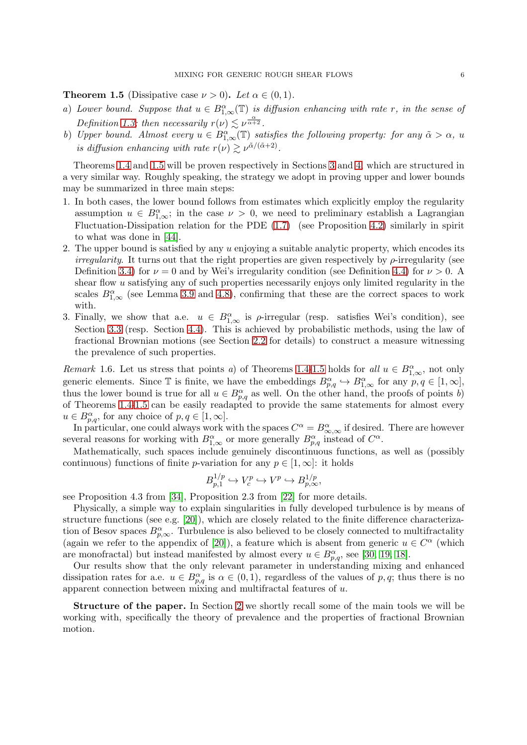<span id="page-5-0"></span>**Theorem 1.5** (Dissipative case  $\nu > 0$ ). Let  $\alpha \in (0, 1)$ .

- a) Lower bound. Suppose that  $u \in B^{\alpha}_{1,\infty}(\mathbb{T})$  is diffusion enhancing with rate r, in the sense of Definition [1.3;](#page-4-4) then necessarily  $r(\nu) \lesssim \nu^{\frac{\alpha}{\alpha+2}}$ .
- b) Upper bound. Almost every  $u \in B^{\alpha}_{1,\infty}(\mathbb{T})$  satisfies the following property: for any  $\tilde{\alpha} > \alpha$ , u is diffusion enhancing with rate  $r(\nu) \gtrsim \nu^{\tilde{\alpha}/(\tilde{\alpha}+2)}$ .

Theorems [1.4](#page-4-0) and [1.5](#page-5-0) will be proven respectively in Sections [3](#page-8-0) and [4,](#page-13-0) which are structured in a very similar way. Roughly speaking, the strategy we adopt in proving upper and lower bounds may be summarized in three main steps:

- 1. In both cases, the lower bound follows from estimates which explicitly employ the regularity assumption  $u \in B^{\alpha}_{1,\infty}$ ; in the case  $\nu > 0$ , we need to preliminary establish a Lagrangian Fluctuation-Dissipation relation for the PDE [\(1.7\)](#page-4-2) (see Proposition [4.2\)](#page-14-0) similarly in spirit to what was done in [\[44\]](#page-29-6).
- 2. The upper bound is satisfied by any  $u$  enjoying a suitable analytic property, which encodes its *irregularity*. It turns out that the right properties are given respectively by  $\rho$ -irregularity (see Definition [3.4\)](#page-10-1) for  $\nu = 0$  and by Wei's irregularity condition (see Definition [4.4\)](#page-16-1) for  $\nu > 0$ . shear flow u satisfying any of such properties necessarily enjoys only limited regularity in the scales  $B_{1,\infty}^{\alpha}$  (see Lemma [3.9](#page-11-0) and [4.8\)](#page-17-0), confirming that these are the correct spaces to work with.
- 3. Finally, we show that a.e.  $u \in B^{\alpha}_{1,\infty}$  is  $\rho$ -irregular (resp. satisfies Wei's condition), see Section [3.3](#page-12-0) (resp. Section [4.4\)](#page-22-0). This is achieved by probabilistic methods, using the law of fractional Brownian motions (see Section [2.2](#page-7-0) for details) to construct a measure witnessing the prevalence of such properties.

<span id="page-5-1"></span>Remark 1.6. Let us stress that points a) of Theorems [1.4](#page-4-0)[-1.5](#page-5-0) holds for all  $u \in B^{\alpha}_{1,\infty}$ , not only generic elements. Since  $\mathbb{T}$  is finite, we have the embeddings  $B^{\alpha}_{p,q} \hookrightarrow B^{\alpha}_{1,\infty}$  for any  $p,q \in [1,\infty]$ , thus the lower bound is true for all  $u \in B^{\alpha}_{p,q}$  as well. On the other hand, the proofs of points b) of Theorems [1.4-](#page-4-0)[1.5](#page-5-0) can be easily readapted to provide the same statements for almost every  $u \in B^{\alpha}_{p,q}$ , for any choice of  $p, q \in [1, \infty]$ .

In particular, one could always work with the spaces  $C^{\alpha} = B^{\alpha}_{\infty,\infty}$  if desired. There are however several reasons for working with  $B^{\alpha}_{1,\infty}$  or more generally  $B^{\alpha}_{p,q}$  instead of  $C^{\alpha}$ .

Mathematically, such spaces include genuinely discontinuous functions, as well as (possibly continuous) functions of finite p-variation for any  $p \in [1,\infty]$ : it holds

$$
B_{p,1}^{1/p} \hookrightarrow V_c^p \hookrightarrow V^p \hookrightarrow B_{p,\infty}^{1/p},
$$

see Proposition 4.3 from [\[34\]](#page-29-7), Proposition 2.3 from [\[22\]](#page-29-8) for more details.

Physically, a simple way to explain singularities in fully developed turbulence is by means of structure functions (see e.g. [\[20\]](#page-29-9)), which are closely related to the finite difference characterization of Besov spaces  $B_{p,\infty}^{\alpha}$ . Turbulence is also believed to be closely connected to multifractality (again we refer to the appendix of [\[20\]](#page-29-9)), a feature which is absent from generic  $u \in C^{\alpha}$  (which are monofractal) but instead manifested by almost every  $u \in B^{\alpha}_{p,q}$ , see [\[30,](#page-29-10) [19,](#page-29-11) [18\]](#page-28-10).

Our results show that the only relevant parameter in understanding mixing and enhanced dissipation rates for a.e.  $u \in B^{\alpha}_{p,q}$  is  $\alpha \in (0,1)$ , regardless of the values of p, q; thus there is no apparent connection between mixing and multifractal features of u.

Structure of the paper. In Section [2](#page-6-0) we shortly recall some of the main tools we will be working with, specifically the theory of prevalence and the properties of fractional Brownian motion.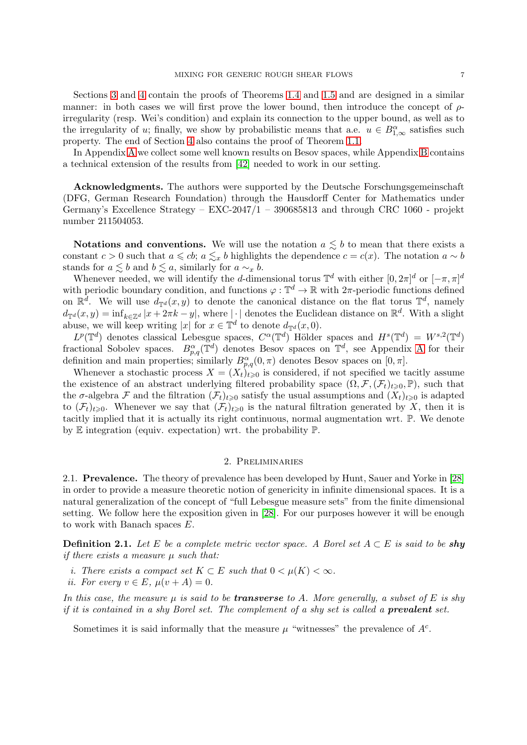Sections [3](#page-8-0) and [4](#page-13-0) contain the proofs of Theorems [1.4](#page-4-0) and [1.5](#page-5-0) and are designed in a similar manner: in both cases we will first prove the lower bound, then introduce the concept of  $\rho$ irregularity (resp. Wei's condition) and explain its connection to the upper bound, as well as to the irregularity of u; finally, we show by probabilistic means that a.e.  $u \in B^{\alpha}_{1,\infty}$  satisfies such property. The end of Section [4](#page-13-0) also contains the proof of Theorem [1.1.](#page-1-0)

In Appendix [A](#page-25-0) we collect some well known results on Besov spaces, while Appendix [B](#page-27-0) contains a technical extension of the results from [\[42\]](#page-29-2) needed to work in our setting.

Acknowledgments. The authors were supported by the Deutsche Forschungsgemeinschaft (DFG, German Research Foundation) through the Hausdorff Center for Mathematics under Germany's Excellence Strategy – EXC-2047/1 – 390685813 and through CRC 1060 - projekt number 211504053.

Notations and conventions. We will use the notation  $a \lesssim b$  to mean that there exists a constant  $c > 0$  such that  $a \leq c b$ ;  $a \leq x b$  highlights the dependence  $c = c(x)$ . The notation  $a \sim b$ stands for  $a \lesssim b$  and  $b \lesssim a$ , similarly for  $a \sim x$  b.

Whenever needed, we will identify the d-dimensional torus  $\mathbb{T}^d$  with either  $[0, 2\pi]^d$  or  $[-\pi, \pi]^d$ with periodic boundary condition, and functions  $\varphi : \mathbb{T}^d \to \mathbb{R}$  with  $2\pi$ -periodic functions defined on  $\mathbb{R}^d$ . We will use  $d_{\mathbb{T}^d}(x, y)$  to denote the canonical distance on the flat torus  $\mathbb{T}^d$ , namely  $d_{\mathbb{T}^d}(x,y) = \inf_{k \in \mathbb{Z}^d} |x + 2\pi k - y|$ , where  $|\cdot|$  denotes the Euclidean distance on  $\mathbb{R}^d$ . With a slight abuse, we will keep writing |x| for  $x \in \mathbb{T}^d$  to denote  $d_{\mathbb{T}^d}(x,0)$ .

 $L^p(\mathbb{T}^d)$  denotes classical Lebesgue spaces,  $C^{\alpha}(\mathbb{T}^d)$  Hölder spaces and  $H^s(\mathbb{T}^d) = W^{s,2}(\mathbb{T}^d)$ fractional Sobolev spaces.  $B_{p,q}^{\alpha}(\mathbb{T}^d)$  denotes Besov spaces on  $\mathbb{T}^d$ , see [A](#page-25-0)ppendix A for their definition and main properties; similarly  $B^{\alpha}_{p,q}(0, \pi)$  denotes Besov spaces on  $[0, \pi]$ .

Whenever a stochastic process  $X = (X_t)_{t\geq 0}$  is considered, if not specified we tacitly assume the existence of an abstract underlying filtered probability space  $(\Omega, \mathcal{F}, (\mathcal{F}_t)_{t\geq 0}, \mathbb{P})$ , such that the  $\sigma$ -algebra F and the filtration  $(\mathcal{F}_t)_{t\geq 0}$  satisfy the usual assumptions and  $(X_t)_{t\geq 0}$  is adapted to  $(\mathcal{F}_t)_{t\geqslant0}$ . Whenever we say that  $(\mathcal{F}_t)_{t\geqslant0}$  is the natural filtration generated by X, then it is tacitly implied that it is actually its right continuous, normal augmentation wrt. P. We denote by E integration (equiv. expectation) wrt. the probability P.

### 2. Preliminaries

<span id="page-6-1"></span><span id="page-6-0"></span>2.1. Prevalence. The theory of prevalence has been developed by Hunt, Sauer and Yorke in [\[28\]](#page-29-3) in order to provide a measure theoretic notion of genericity in infinite dimensional spaces. It is a natural generalization of the concept of "full Lebesgue measure sets" from the finite dimensional setting. We follow here the exposition given in [\[28\]](#page-29-3). For our purposes however it will be enough to work with Banach spaces E.

<span id="page-6-2"></span>**Definition 2.1.** Let E be a complete metric vector space. A Borel set  $A \subset E$  is said to be shy if there exists a measure  $\mu$  such that:

- i. There exists a compact set  $K \subset E$  such that  $0 < \mu(K) < \infty$ .
- ii. For every  $v \in E$ ,  $\mu(v + A) = 0$ .

In this case, the measure  $\mu$  is said to be **transverse** to A. More generally, a subset of E is shy if it is contained in a shy Borel set. The complement of a shy set is called a **prevalent** set.

Sometimes it is said informally that the measure  $\mu$  "witnesses" the prevalence of  $A<sup>c</sup>$ .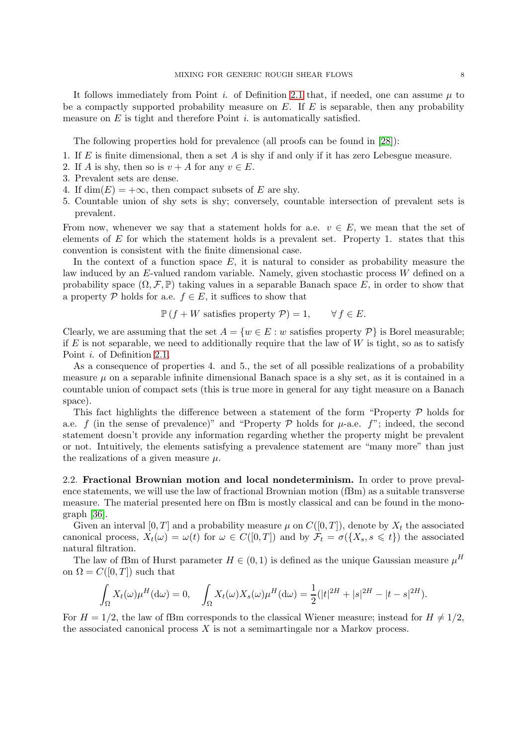It follows immediately from Point i. of Definition [2.1](#page-6-2) that, if needed, one can assume  $\mu$  to be a compactly supported probability measure on  $E$ . If  $E$  is separable, then any probability measure on  $E$  is tight and therefore Point i. is automatically satisfied.

The following properties hold for prevalence (all proofs can be found in [\[28\]](#page-29-3)):

- 1. If  $E$  is finite dimensional, then a set  $A$  is shy if and only if it has zero Lebesgue measure.
- 2. If A is shy, then so is  $v + A$  for any  $v \in E$ .
- 3. Prevalent sets are dense.
- 4. If  $\dim(E) = +\infty$ , then compact subsets of E are shy.
- 5. Countable union of shy sets is shy; conversely, countable intersection of prevalent sets is prevalent.

From now, whenever we say that a statement holds for a.e.  $v \in E$ , we mean that the set of elements of  $E$  for which the statement holds is a prevalent set. Property 1. states that this convention is consistent with the finite dimensional case.

In the context of a function space  $E$ , it is natural to consider as probability measure the law induced by an E-valued random variable. Namely, given stochastic process W defined on a probability space  $(\Omega, \mathcal{F}, \mathbb{P})$  taking values in a separable Banach space E, in order to show that a property P holds for a.e.  $f \in E$ , it suffices to show that

$$
\mathbb{P}(f+W \text{ satisfies property } \mathcal{P})=1, \qquad \forall f \in E.
$$

Clearly, we are assuming that the set  $A = \{w \in E : w \text{ satisfies property } P\}$  is Borel measurable; if  $E$  is not separable, we need to additionally require that the law of  $W$  is tight, so as to satisfy Point *i*. of Definition [2.1.](#page-6-2)

As a consequence of properties 4. and 5., the set of all possible realizations of a probability measure  $\mu$  on a separable infinite dimensional Banach space is a shy set, as it is contained in a countable union of compact sets (this is true more in general for any tight measure on a Banach space).

This fact highlights the difference between a statement of the form "Property  $\mathcal P$  holds for a.e. f (in the sense of prevalence)" and "Property  $P$  holds for  $\mu$ -a.e.  $f$ "; indeed, the second statement doesn't provide any information regarding whether the property might be prevalent or not. Intuitively, the elements satisfying a prevalence statement are "many more" than just the realizations of a given measure  $\mu$ .

<span id="page-7-0"></span>2.2. Fractional Brownian motion and local nondeterminism. In order to prove prevalence statements, we will use the law of fractional Brownian motion (fBm) as a suitable transverse measure. The material presented here on fBm is mostly classical and can be found in the monograph [\[36\]](#page-29-12).

Given an interval [0, T] and a probability measure  $\mu$  on  $C([0, T])$ , denote by  $X_t$  the associated canonical process,  $X_t(\omega) = \omega(t)$  for  $\omega \in C([0,T])$  and by  $\mathcal{F}_t = \sigma({X_s, s \leq t})$  the associated natural filtration.

The law of fBm of Hurst parameter  $H \in (0, 1)$  is defined as the unique Gaussian measure  $\mu^H$ on  $\Omega = C([0,T])$  such that

$$
\int_{\Omega} X_t(\omega) \mu^H(\mathrm{d}\omega) = 0, \quad \int_{\Omega} X_t(\omega) X_s(\omega) \mu^H(\mathrm{d}\omega) = \frac{1}{2} (|t|^{2H} + |s|^{2H} - |t - s|^{2H}).
$$

For  $H = 1/2$ , the law of fBm corresponds to the classical Wiener measure; instead for  $H \neq 1/2$ , the associated canonical process  $X$  is not a semimartingale nor a Markov process.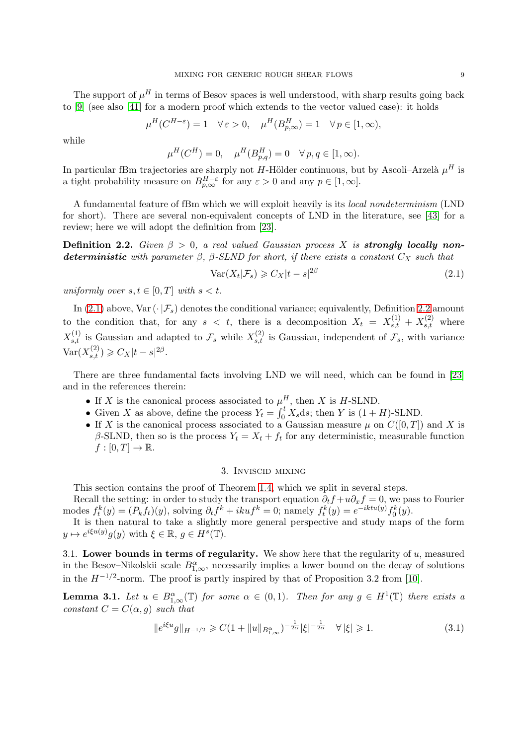The support of  $\mu^H$  in terms of Besov spaces is well understood, with sharp results going back to [\[9\]](#page-28-11) (see also [\[41\]](#page-29-13) for a modern proof which extends to the vector valued case): it holds

$$
\mu^H(C^{H-\varepsilon}) = 1 \quad \forall \, \varepsilon > 0, \quad \mu^H(B^H_{p,\infty}) = 1 \quad \forall \, p \in [1,\infty),
$$

while

$$
\mu^H(C^H) = 0, \quad \mu^H(B_{p,q}^H) = 0 \quad \forall p, q \in [1, \infty).
$$

In particular fBm trajectories are sharply not H-Hölder continuous, but by Ascoli–Arzelà  $\mu^H$  is a tight probability measure on  $B_{p,\infty}^{H-\varepsilon}$  for any  $\varepsilon > 0$  and any  $p \in [1,\infty]$ .

A fundamental feature of fBm which we will exploit heavily is its local nondeterminism (LND for short). There are several non-equivalent concepts of LND in the literature, see [\[43\]](#page-29-14) for a review; here we will adopt the definition from [\[23\]](#page-29-15).

<span id="page-8-3"></span>**Definition 2.2.** Given  $\beta > 0$ , a real valued Gaussian process X is **strongly locally non**deterministic with parameter  $\beta$ ,  $\beta$ -SLND for short, if there exists a constant  $C_X$  such that

<span id="page-8-2"></span>
$$
\text{Var}(X_t|\mathcal{F}_s) \geqslant C_X|t-s|^{2\beta} \tag{2.1}
$$

uniformly over  $s, t \in [0, T]$  with  $s < t$ .

In [\(2.1\)](#page-8-2) above, Var  $(\cdot|\mathcal{F}_s)$  denotes the conditional variance; equivalently, Definition [2.2](#page-8-3) amount to the condition that, for any  $s < t$ , there is a decomposition  $X_t = X_{s,t}^{(1)} + X_{s,t}^{(2)}$  where  $X_{s,t}^{(1)}$  is Gaussian and adapted to  $\mathcal{F}_s$  while  $X_{s,t}^{(2)}$  is Gaussian, independent of  $\mathcal{F}_s$ , with variance  $\text{Var}(X_{s,t}^{(2)}) \geqslant C_X|t-s|^{2\beta}.$ 

There are three fundamental facts involving LND we will need, which can be found in [\[23\]](#page-29-15) and in the references therein:

- If X is the canonical process associated to  $\mu_n^H$ , then X is H-SLND.
- Given X as above, define the process  $Y_t = \int_0^t X_s ds$ ; then Y is  $(1 + H)$ -SLND.
- If X is the canonical process associated to a Gaussian measure  $\mu$  on  $C([0,T])$  and X is  $\beta$ -SLND, then so is the process  $Y_t = X_t + f_t$  for any deterministic, measurable function  $f:[0,T]\to\mathbb{R}.$

## 3. Inviscid mixing

<span id="page-8-0"></span>This section contains the proof of Theorem [1.4,](#page-4-0) which we split in several steps.

Recall the setting: in order to study the transport equation  $\partial_t f + u \partial_x f = 0$ , we pass to Fourier modes  $f_t^k(y) = (P_k f_t)(y)$ , solving  $\partial_t f^k + i k u f^k = 0$ ; namely  $f_t^k(y) = e^{-iktu(y)} f_0^k(y)$ .

It is then natural to take a slightly more general perspective and study maps of the form  $y \mapsto e^{i\xi u(y)}g(y)$  with  $\xi \in \mathbb{R}, g \in H^s(\mathbb{T})$ .

<span id="page-8-1"></span>3.1. Lower bounds in terms of regularity. We show here that the regularity of  $u$ , measured in the Besov–Nikolskii scale  $B_{1,\infty}^{\alpha}$ , necessarily implies a lower bound on the decay of solutions in the  $H^{-1/2}$ -norm. The proof is partly inspired by that of Proposition 3.2 from [\[10\]](#page-28-1).

<span id="page-8-4"></span>**Lemma 3.1.** Let  $u \in B^{\alpha}_{1,\infty}(\mathbb{T})$  for some  $\alpha \in (0,1)$ . Then for any  $g \in H^1(\mathbb{T})$  there exists a constant  $C = C(\alpha, q)$  such that

$$
||e^{i\xi u}g||_{H^{-1/2}} \geq C(1+||u||_{B_{1,\infty}^{\alpha}})^{-\frac{1}{2\alpha}}|\xi|^{-\frac{1}{2\alpha}} \quad \forall |\xi| \geq 1.
$$
 (3.1)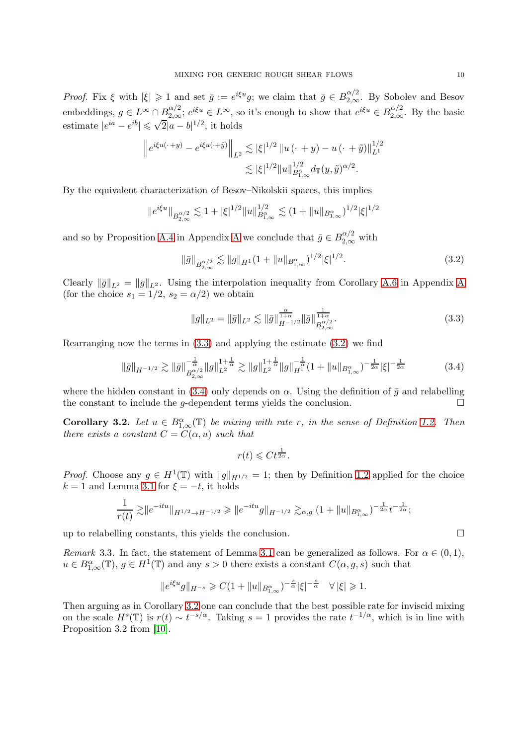Proof. Fix  $\xi$  with  $|\xi| \geq 1$  and set  $\bar{g} := e^{i\xi u}g$ ; we claim that  $\bar{g} \in B_{2,\infty}^{\alpha/2}$ . By Sobolev and Besov embeddings,  $g \in L^{\infty} \cap B^{\alpha/2}_{2,\infty}$ ;  $e^{i\xi u} \in L^{\infty}$ , so it's enough to show that  $e^{i\xi u} \in B^{\alpha/2}_{2,\infty}$ . By the basic estimate  $|e^{ia} - e^{ib}| \leq \sqrt{2}|a - b|^{1/2}$ , it holds

$$
\left\|e^{i\xi u(\cdot+y)} - e^{i\xi u(\cdot+\tilde{y})}\right\|_{L^2} \lesssim |\xi|^{1/2} \left\|u(\cdot+y) - u(\cdot+\tilde{y})\right\|_{L^1}^{1/2}
$$

$$
\lesssim |\xi|^{1/2} \|u\|_{B^{\alpha}_{1,\infty}}^{1/2} d_{\mathbb{T}}(y,\tilde{y})^{\alpha/2}.
$$

By the equivalent characterization of Besov–Nikolskii spaces, this implies

$$
\|e^{i\xi u}\|_{B^{\alpha/2}_{2,\infty}}\lesssim 1+|\xi|^{1/2}\|u\|_{B^{\alpha}_{1,\infty}}^{1/2}\lesssim (1+\|u\|_{B^{\alpha}_{1,\infty}})^{1/2}|\xi|^{1/2}
$$

and so by Proposition [A.4](#page-26-0) in [A](#page-25-0)ppendix A we conclude that  $\bar{g} \in B_{2,\infty}^{\alpha/2}$  with

<span id="page-9-1"></span>
$$
\|\bar{g}\|_{B_{2,\infty}^{\alpha/2}} \lesssim \|g\|_{H^1} (1 + \|u\|_{B_{1,\infty}^{\alpha}})^{1/2} |\xi|^{1/2}.
$$
 (3.2)

Clearly  $\|\bar{g}\|_{L^2} = \|g\|_{L^2}$ . Using the interpolation inequality from Corollary [A.6](#page-26-1) in [A](#page-25-0)ppendix A (for the choice  $s_1 = 1/2$ ,  $s_2 = \alpha/2$ ) we obtain

<span id="page-9-0"></span>
$$
||g||_{L^{2}} = ||\bar{g}||_{L^{2}} \lesssim ||\bar{g}||_{H^{-1/2}}^{\frac{\alpha}{1+\alpha}} ||\bar{g}||_{B_{2,\infty}^{\alpha/2}}^{\frac{1}{1+\alpha}}.
$$
\n(3.3)

Rearranging now the terms in [\(3.3\)](#page-9-0) and applying the estimate [\(3.2\)](#page-9-1) we find

<span id="page-9-2"></span>
$$
\|\bar{g}\|_{H^{-1/2}} \gtrsim \|\bar{g}\|_{B_{2,\infty}^{\alpha/2}}^{-\frac{1}{\alpha}} \|g\|_{L^{2}}^{1+\frac{1}{\alpha}} \gtrsim \|g\|_{L^{2}}^{1+\frac{1}{\alpha}} \|g\|_{H^{1}}^{-\frac{1}{\alpha}} (1 + \|u\|_{B_{1,\infty}^{\alpha}})^{-\frac{1}{2\alpha}} |\xi|^{-\frac{1}{2\alpha}} \qquad (3.4)
$$

where the hidden constant in [\(3.4\)](#page-9-2) only depends on  $\alpha$ . Using the definition of  $\bar{g}$  and relabelling the constant to include the g-dependent terms yields the conclusion.  $\Box$ 

<span id="page-9-3"></span>**Corollary 3.2.** Let  $u \in B^{\alpha}_{1,\infty}(\mathbb{T})$  be mixing with rate r, in the sense of Definition [1.2.](#page-4-3) Then there exists a constant  $C = C(\alpha, u)$  such that

$$
r(t) \leqslant Ct^{\frac{1}{2\alpha}}.
$$

*Proof.* Choose any  $g \in H^1(\mathbb{T})$  with  $||g||_{H^{1/2}} = 1$ ; then by Definition [1.2](#page-4-3) applied for the choice  $k = 1$  and Lemma [3.1](#page-8-4) for  $\xi = -t$ , it holds

$$
\frac{1}{r(t)} \gtrsim \|e^{-itu}\|_{H^{1/2} \to H^{-1/2}} \gtrless \|e^{-itu}g\|_{H^{-1/2}} \gtrsim_{\alpha,g} (1 + \|u\|_{B^{\alpha}_{1,\infty}})^{-\frac{1}{2\alpha}} t^{-\frac{1}{2\alpha}};
$$

up to relabelling constants, this yields the conclusion.  $\Box$ 

Remark 3.3. In fact, the statement of Lemma [3.1](#page-8-4) can be generalized as follows. For  $\alpha \in (0,1)$ ,  $u \in B^{\alpha}_{1,\infty}(\mathbb{T})$ ,  $g \in H^1(\mathbb{T})$  and any  $s > 0$  there exists a constant  $C(\alpha, g, s)$  such that

$$
\|e^{i\xi u}g\|_{H^{-s}}\geqslant C(1+\|u\|_{B^{\alpha}_{1,\infty}})^{-\frac{s}{\alpha}}|\xi|^{-\frac{s}{\alpha}}\quad\forall\,|\xi|\geqslant 1.
$$

Then arguing as in Corollary [3.2](#page-9-3) one can conclude that the best possible rate for inviscid mixing on the scale  $H^s(\mathbb{T})$  is  $r(t) \sim t^{-s/\alpha}$ . Taking  $s = 1$  provides the rate  $t^{-1/\alpha}$ , which is in line with Proposition 3.2 from [\[10\]](#page-28-1).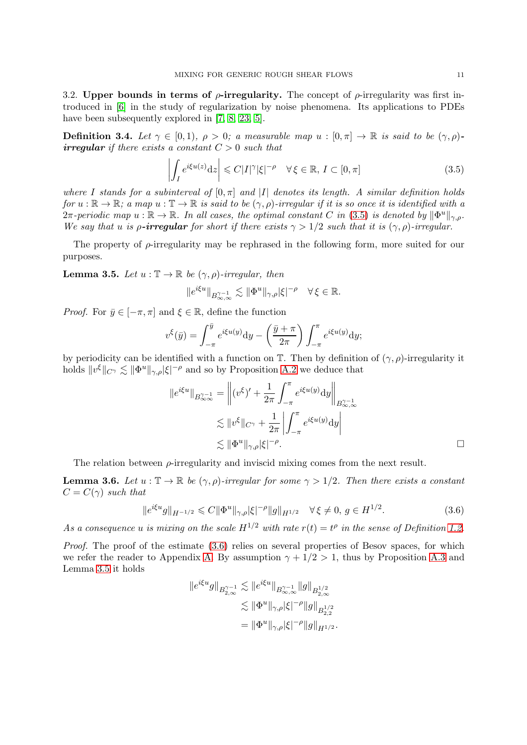<span id="page-10-0"></span>3.2. Upper bounds in terms of  $\rho$ -irregularity. The concept of  $\rho$ -irregularity was first introduced in [\[6\]](#page-28-12) in the study of regularization by noise phenomena. Its applications to PDEs have been subsequently explored in [\[7,](#page-28-13) [8,](#page-28-14) [23,](#page-29-15) [5\]](#page-28-15).

<span id="page-10-1"></span>**Definition 3.4.** Let  $\gamma \in [0, 1)$ ,  $\rho > 0$ ; a measurable map  $u : [0, \pi] \to \mathbb{R}$  is said to be  $(\gamma, \rho)$ irregular if there exists a constant  $C > 0$  such that

<span id="page-10-2"></span>
$$
\left| \int_{I} e^{i\xi u(z)} dz \right| \leq C |I|^{\gamma} |\xi|^{-\rho} \quad \forall \, \xi \in \mathbb{R}, \, I \subset [0, \pi]
$$
\n(3.5)

where I stands for a subinterval of  $[0, \pi]$  and |I| denotes its length. A similar definition holds for  $u : \mathbb{R} \to \mathbb{R}$ ; a map  $u : \mathbb{T} \to \mathbb{R}$  is said to be  $(\gamma, \rho)$ -irregular if it is so once it is identified with a  $2\pi$ -periodic map  $u : \mathbb{R} \to \mathbb{R}$ . In all cases, the optimal constant C in [\(3.5\)](#page-10-2) is denoted by  $\|\Phi^u\|_{\gamma,\rho}$ . We say that u is  $\rho$ -irregular for short if there exists  $\gamma > 1/2$  such that it is  $(\gamma, \rho)$ -irregular.

The property of  $\rho$ -irregularity may be rephrased in the following form, more suited for our purposes.

<span id="page-10-4"></span>**Lemma 3.5.** Let  $u : \mathbb{T} \to \mathbb{R}$  be  $(\gamma, \rho)$ -irregular, then

$$
\|e^{i\xi u}\|_{B^{\gamma-1}_{\infty,\infty}}\lesssim \|\Phi^u\|_{\gamma,\rho}|\xi|^{-\rho}\quad \forall\,\xi\in\mathbb{R}.
$$

*Proof.* For  $\bar{y} \in [-\pi, \pi]$  and  $\xi \in \mathbb{R}$ , define the function

$$
v^{\xi}(\bar{y}) = \int_{-\pi}^{\bar{y}} e^{i\xi u(y)} dy - \left(\frac{\bar{y} + \pi}{2\pi}\right) \int_{-\pi}^{\pi} e^{i\xi u(y)} dy;
$$

by periodicity can be identified with a function on  $\mathbb{T}$ . Then by definition of  $(\gamma, \rho)$ -irregularity it holds  $||v^{\xi}||_{C^{\gamma}} \lesssim ||\Phi^u||_{\gamma,\rho} |\xi|^{-\rho}$  and so by Proposition [A.2](#page-25-1) we deduce that

$$
||e^{i\xi u}||_{B_{\infty}^{\gamma-1}} = \left|| (v^{\xi})' + \frac{1}{2\pi} \int_{-\pi}^{\pi} e^{i\xi u(y)} dy \right||_{B_{\infty,\infty}^{\gamma-1}}
$$
  

$$
\lesssim ||v^{\xi}||_{C^{\gamma}} + \frac{1}{2\pi} \left| \int_{-\pi}^{\pi} e^{i\xi u(y)} dy \right|
$$
  

$$
\lesssim ||\Phi^u||_{\gamma,\rho} |\xi|^{-\rho}.
$$

The relation between  $\rho$ -irregularity and inviscid mixing comes from the next result.

<span id="page-10-5"></span>**Lemma 3.6.** Let  $u : \mathbb{T} \to \mathbb{R}$  be  $(\gamma, \rho)$ -irregular for some  $\gamma > 1/2$ . Then there exists a constant  $C = C(\gamma)$  such that

<span id="page-10-3"></span>
$$
\|e^{i\xi u}g\|_{H^{-1/2}} \leq C \|\Phi^u\|_{\gamma,\rho} |\xi|^{-\rho} \|g\|_{H^{1/2}} \quad \forall \xi \neq 0, \ g \in H^{1/2}.
$$
 (3.6)

As a consequence u is mixing on the scale  $H^{1/2}$  with rate  $r(t) = t^{\rho}$  in the sense of Definition [1.2.](#page-4-3)

Proof. The proof of the estimate  $(3.6)$  relies on several properties of Besov spaces, for which we refer the reader to Appendix [A.](#page-25-0) By assumption  $\gamma + 1/2 > 1$ , thus by Proposition [A.3](#page-26-2) and Lemma [3.5](#page-10-4) it holds

$$
\begin{aligned} \|e^{i\xi u}g\|_{B^{\gamma-1}_{2,\infty}} &\lesssim \|e^{i\xi u}\|_{B^{\gamma-1}_{\infty,\infty}}\|g\|_{B^{1/2}_{2,\infty}}\\ &\lesssim \|\Phi^u\|_{\gamma,\rho}|\xi|^{-\rho}\|g\|_{B^{1/2}_{2,2}}\\ &= \|\Phi^u\|_{\gamma,\rho}|\xi|^{-\rho}\|g\|_{H^{1/2}}. \end{aligned}
$$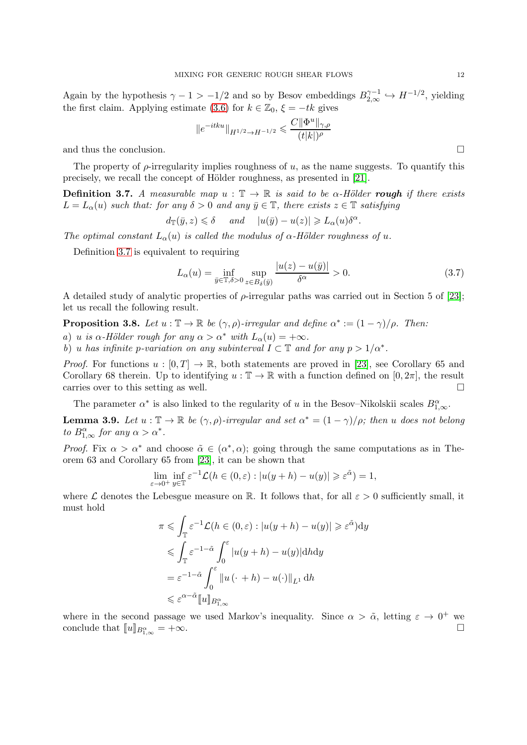Again by the hypothesis  $\gamma - 1 > -1/2$  and so by Besov embeddings  $B_{2,\infty}^{\gamma-1} \hookrightarrow H^{-1/2}$ , yielding the first claim. Applying estimate [\(3.6\)](#page-10-3) for  $k \in \mathbb{Z}_0$ ,  $\xi = -tk$  gives

$$
||e^{-itku}||_{H^{1/2}\rightarrow H^{-1/2}}\leqslant \frac{C||\Phi^u||_{\gamma,\rho}}{(t|k|)^{\rho}}
$$

and thus the conclusion.

The property of  $\rho$ -irregularity implies roughness of u, as the name suggests. To quantify this precisely, we recall the concept of Hölder roughness, as presented in [\[21\]](#page-29-16).

<span id="page-11-1"></span>**Definition 3.7.** A measurable map  $u : \mathbb{T} \to \mathbb{R}$  is said to be  $\alpha$ -Hölder rough if there exists  $L = L_{\alpha}(u)$  such that: for any  $\delta > 0$  and any  $\bar{y} \in \mathbb{T}$ , there exists  $z \in \mathbb{T}$  satisfying

$$
d_{\mathbb{T}}(\bar{y}, z) \le \delta
$$
 and  $|u(\bar{y}) - u(z)| \ge L_{\alpha}(u)\delta^{\alpha}$ .

The optimal constant  $L_{\alpha}(u)$  is called the modulus of  $\alpha$ -Hölder roughness of u.

Definition [3.7](#page-11-1) is equivalent to requiring

$$
L_{\alpha}(u) = \inf_{\bar{y} \in \mathbb{T}, \delta > 0} \sup_{z \in B_{\delta}(\bar{y})} \frac{|u(z) - u(\bar{y})|}{\delta^{\alpha}} > 0.
$$
 (3.7)

A detailed study of analytic properties of  $\rho$ -irregular paths was carried out in Section 5 of [\[23\]](#page-29-15); let us recall the following result.

**Proposition 3.8.** Let  $u : \mathbb{T} \to \mathbb{R}$  be  $(\gamma, \rho)$ -irregular and define  $\alpha^* := (1 - \gamma)/\rho$ . Then:

a) u is  $\alpha$ -Hölder rough for any  $\alpha > \alpha^*$  with  $L_{\alpha}(u) = +\infty$ .

b) u has infinite p-variation on any subinterval  $I \subset \mathbb{T}$  and for any  $p > 1/\alpha^*$ .

*Proof.* For functions  $u : [0, T] \to \mathbb{R}$ , both statements are proved in [\[23\]](#page-29-15), see Corollary 65 and Corollary 68 therein. Up to identifying  $u : \mathbb{T} \to \mathbb{R}$  with a function defined on  $[0, 2\pi]$ , the result carries over to this setting as well.

The parameter  $\alpha^*$  is also linked to the regularity of u in the Besov–Nikolskii scales  $B_{1,\infty}^{\alpha}$ .

<span id="page-11-0"></span>**Lemma 3.9.** Let  $u : \mathbb{T} \to \mathbb{R}$  be  $(\gamma, \rho)$ -irregular and set  $\alpha^* = (1 - \gamma)/\rho$ ; then u does not belong to  $B_{1,\infty}^{\alpha}$  for any  $\alpha > \alpha^*$ .

*Proof.* Fix  $\alpha > \alpha^*$  and choose  $\tilde{\alpha} \in (\alpha^*, \alpha)$ ; going through the same computations as in Theorem 63 and Corollary 65 from [\[23\]](#page-29-15), it can be shown that

$$
\lim_{\varepsilon \to 0^+} \inf_{y \in \mathbb{T}} \varepsilon^{-1} \mathcal{L}(h \in (0, \varepsilon) : |u(y+h) - u(y)| \geqslant \varepsilon^{\tilde{\alpha}}) = 1,
$$

where L denotes the Lebesgue measure on R. It follows that, for all  $\varepsilon > 0$  sufficiently small, it must hold

$$
\pi \leq \int_{\mathbb{T}} \varepsilon^{-1} \mathcal{L}(h \in (0, \varepsilon) : |u(y+h) - u(y)| \geq \varepsilon^{\tilde{\alpha}}) dy
$$
  

$$
\leq \int_{\mathbb{T}} \varepsilon^{-1-\tilde{\alpha}} \int_{0}^{\varepsilon} |u(y+h) - u(y)| dhdy
$$
  

$$
= \varepsilon^{-1-\tilde{\alpha}} \int_{0}^{\varepsilon} ||u(\cdot + h) - u(\cdot)||_{L^{1}} dh
$$
  

$$
\leq \varepsilon^{\alpha-\tilde{\alpha}} [u]_{B_{1,\infty}^{\alpha}}
$$

where in the second passage we used Markov's inequality. Since  $\alpha > \tilde{\alpha}$ , letting  $\varepsilon \to 0^+$  we conclude that  $[[u]]_{B^{\alpha}_{1,\infty}} = +\infty$ .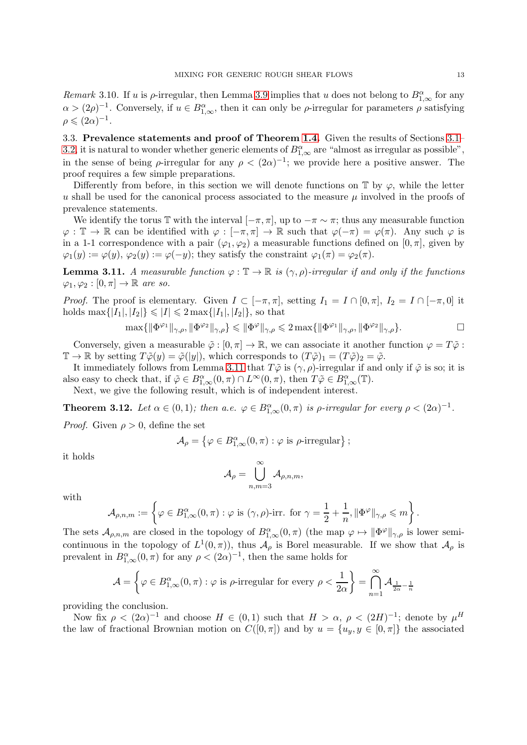Remark 3.10. If u is  $\rho$ -irregular, then Lemma [3.9](#page-11-0) implies that u does not belong to  $B^{\alpha}_{1,\infty}$  for any  $\alpha > (2\rho)^{-1}$ . Conversely, if  $u \in B^{\alpha}_{1,\infty}$ , then it can only be  $\rho$ -irregular for parameters  $\rho$  satisfying  $\rho \leqslant (2\alpha)^{-1}.$ 

<span id="page-12-0"></span>3.3. Prevalence statements and proof of Theorem [1.4.](#page-4-0) Given the results of Sections [3.1–](#page-8-1) [3.2,](#page-10-0) it is natural to wonder whether generic elements of  $B^{\alpha}_{1,\infty}$  are "almost as irregular as possible", in the sense of being  $\rho$ -irregular for any  $\rho < (2\alpha)^{-1}$ ; we provide here a positive answer. The proof requires a few simple preparations.

Differently from before, in this section we will denote functions on  $\mathbb T$  by  $\varphi$ , while the letter u shall be used for the canonical process associated to the measure  $\mu$  involved in the proofs of prevalence statements.

We identify the torus T with the interval  $[-\pi, \pi]$ , up to  $-\pi \sim \pi$ ; thus any measurable function  $\varphi : \mathbb{T} \to \mathbb{R}$  can be identified with  $\varphi : [-\pi, \pi] \to \mathbb{R}$  such that  $\varphi(-\pi) = \varphi(\pi)$ . Any such  $\varphi$  is in a 1-1 correspondence with a pair  $(\varphi_1, \varphi_2)$  a measurable functions defined on  $[0, \pi]$ , given by  $\varphi_1(y) := \varphi(y), \varphi_2(y) := \varphi(-y)$ ; they satisfy the constraint  $\varphi_1(\pi) = \varphi_2(\pi)$ .

<span id="page-12-1"></span>**Lemma 3.11.** A measurable function  $\varphi : \mathbb{T} \to \mathbb{R}$  is  $(\gamma, \rho)$ -irregular if and only if the functions  $\varphi_1, \varphi_2 : [0, \pi] \to \mathbb{R}$  are so.

*Proof.* The proof is elementary. Given  $I \subset [-\pi, \pi]$ , setting  $I_1 = I \cap [0, \pi]$ ,  $I_2 = I \cap [-\pi, 0]$  it holds  $\max\{|I_1|, |I_2|\} \leq |I| \leq 2 \max\{|I_1|, |I_2|\}$ , so that

$$
\max\{\|\Phi^{\varphi_1}\|_{\gamma,\rho}, \|\Phi^{\varphi_2}\|_{\gamma,\rho}\} \leqslant \|\Phi^{\varphi}\|_{\gamma,\rho} \leqslant 2\max\{\|\Phi^{\varphi_1}\|_{\gamma,\rho}, \|\Phi^{\varphi_2}\|_{\gamma,\rho}\}.
$$

Conversely, given a measurable  $\tilde{\varphi} : [0, \pi] \to \mathbb{R}$ , we can associate it another function  $\varphi = T\tilde{\varphi}$ :  $\mathbb{T} \to \mathbb{R}$  by setting  $T\tilde{\varphi}(y) = \tilde{\varphi}(|y|)$ , which corresponds to  $(T\tilde{\varphi})_1 = (T\tilde{\varphi})_2 = \tilde{\varphi}$ .

It immediately follows from Lemma [3.11](#page-12-1) that  $T\tilde{\varphi}$  is  $(\gamma, \rho)$ -irregular if and only if  $\tilde{\varphi}$  is so; it is also easy to check that, if  $\tilde{\varphi} \in B^{\alpha}_{1,\infty}(0,\pi) \cap L^{\infty}(0,\pi)$ , then  $T\tilde{\varphi} \in B^{\alpha}_{1,\infty}(\mathbb{T})$ .

Next, we give the following result, which is of independent interest.

<span id="page-12-2"></span>**Theorem 3.12.** Let  $\alpha \in (0,1)$ ; then  $a.e. \varphi \in B^{\alpha}_{1,\infty}(0,\pi)$  is  $\rho$ -irregular for every  $\rho < (2\alpha)^{-1}$ .

*Proof.* Given  $\rho > 0$ , define the set

$$
\mathcal{A}_{\rho} = \left\{ \varphi \in B^{\alpha}_{1,\infty}(0,\pi) : \varphi \text{ is } \rho \text{-irregular} \right\};
$$

it holds

$$
\mathcal{A}_\rho = \bigcup_{n,m=3}^\infty \mathcal{A}_{\rho,n,m},
$$

with

$$
\mathcal{A}_{\rho,n,m}:=\left\{\varphi\in B^{\alpha}_{1,\infty}(0,\pi): \varphi \text{ is } (\gamma,\rho)\text{-irr. for } \gamma=\frac{1}{2}+\frac{1}{n},\|\Phi^{\varphi}\|_{\gamma,\rho}\leqslant m\right\}.
$$

The sets  $\mathcal{A}_{\rho,n,m}$  are closed in the topology of  $B^{\alpha}_{1,\infty}(0,\pi)$  (the map  $\varphi \mapsto ||\Phi^{\varphi}||_{\gamma,\rho}$  is lower semicontinuous in the topology of  $L^1(0,\pi)$ , thus  $\mathcal{A}_{\rho}$  is Borel measurable. If we show that  $\mathcal{A}_{\rho}$  is prevalent in  $B_{1,\infty}^{\alpha}(0,\pi)$  for any  $\rho < (2\alpha)^{-1}$ , then the same holds for

$$
\mathcal{A} = \left\{ \varphi \in B_{1,\infty}^{\alpha}(0,\pi) : \varphi \text{ is } \rho \text{-irregular for every } \rho < \frac{1}{2\alpha} \right\} = \bigcap_{n=1}^{\infty} \mathcal{A}_{\frac{1}{2\alpha} - \frac{1}{n}}
$$

providing the conclusion.

Now fix  $\rho < (2\alpha)^{-1}$  and choose  $H \in (0,1)$  such that  $H > \alpha$ ,  $\rho < (2H)^{-1}$ ; denote by  $\mu^H$ the law of fractional Brownian motion on  $C([0, \pi])$  and by  $u = \{u_y, y \in [0, \pi]\}\$  the associated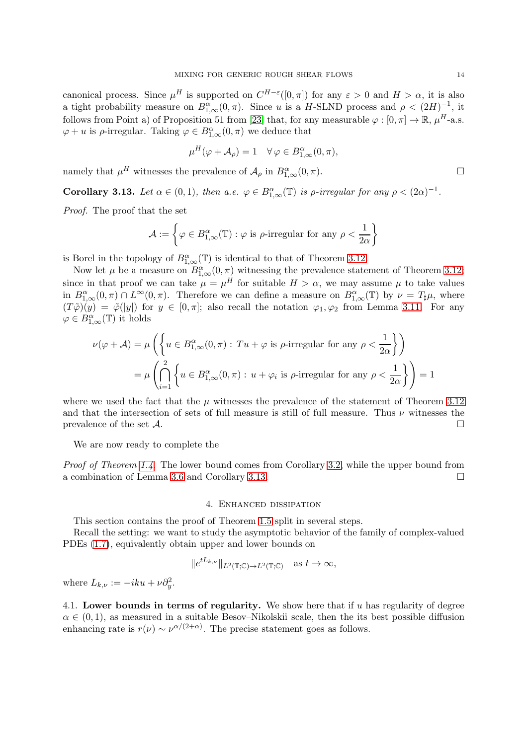canonical process. Since  $\mu^H$  is supported on  $C^{H-\varepsilon}([0,\pi])$  for any  $\varepsilon > 0$  and  $H > \alpha$ , it is also a tight probability measure on  $B_{1,\infty}^{\alpha}(0,\pi)$ . Since u is a H-SLND process and  $\rho < (2H)^{-1}$ , it follows from Point a) of Proposition 51 from [\[23\]](#page-29-15) that, for any measurable  $\varphi : [0, \pi] \to \mathbb{R}$ ,  $\mu^H$ -a.s.  $\varphi + u$  is  $\rho$ -irregular. Taking  $\varphi \in B^{\alpha}_{1,\infty}(0, \pi)$  we deduce that

$$
\mu^H(\varphi + \mathcal{A}_{\rho}) = 1 \quad \forall \varphi \in B^{\alpha}_{1,\infty}(0,\pi),
$$

namely that  $\mu^H$  witnesses the prevalence of  $\mathcal{A}_{\rho}$  in  $B^{\alpha}_{1,\infty}(0,\pi)$ .

<span id="page-13-2"></span>**Corollary 3.13.** Let  $\alpha \in (0,1)$ , then  $a.e. \varphi \in B^{\alpha}_{1,\infty}(\mathbb{T})$  is  $\rho$ -irregular for any  $\rho < (2\alpha)^{-1}$ .

Proof. The proof that the set

$$
\mathcal{A}:=\left\{\varphi\in B^{\alpha}_{1,\infty}(\mathbb{T}):\varphi \text{ is } \rho\text{-irregular for any } \rho<\frac{1}{2\alpha}\right\}
$$

is Borel in the topology of  $B^{\alpha}_{1,\infty}(\mathbb{T})$  is identical to that of Theorem [3.12.](#page-12-2)

Now let  $\mu$  be a measure on  $B^{\alpha}_{1,\infty}(0,\pi)$  witnessing the prevalence statement of Theorem [3.12;](#page-12-2) since in that proof we can take  $\mu = \mu^H$  for suitable  $H > \alpha$ , we may assume  $\mu$  to take values in  $B^{\alpha}_{1,\infty}(0,\pi) \cap L^{\infty}(0,\pi)$ . Therefore we can define a measure on  $B^{\alpha}_{1,\infty}(\mathbb{T})$  by  $\nu = T_{\sharp}\mu$ , where  $(T\tilde{\varphi})(y) = \tilde{\varphi}(|y|)$  for  $y \in [0, \pi]$ ; also recall the notation  $\varphi_1, \varphi_2$  from Lemma [3.11.](#page-12-1) For any  $\varphi \in B^{\alpha}_{1,\infty}(\mathbb{T})$  it holds

$$
\nu(\varphi + \mathcal{A}) = \mu\left(\left\{u \in B_{1,\infty}^{\alpha}(0,\pi) : Tu + \varphi \text{ is } \rho \text{-irregular for any } \rho < \frac{1}{2\alpha}\right\}\right)
$$

$$
= \mu\left(\bigcap_{i=1}^{2}\left\{u \in B_{1,\infty}^{\alpha}(0,\pi) : u + \varphi_{i} \text{ is } \rho \text{-irregular for any } \rho < \frac{1}{2\alpha}\right\}\right) = 1
$$

where we used the fact that the  $\mu$  witnesses the prevalence of the statement of Theorem [3.12](#page-12-2) and that the intersection of sets of full measure is still of full measure. Thus  $\nu$  witnesses the prevalence of the set  $\mathcal{A}$ .

We are now ready to complete the

<span id="page-13-0"></span>Proof of Theorem [1.4.](#page-4-0) The lower bound comes from Corollary [3.2,](#page-9-3) while the upper bound from a combination of Lemma [3.6](#page-10-5) and Corollary [3.13.](#page-13-2)

#### 4. Enhanced dissipation

This section contains the proof of Theorem [1.5](#page-5-0) split in several steps.

Recall the setting: we want to study the asymptotic behavior of the family of complex-valued PDEs [\(1.7\)](#page-4-2), equivalently obtain upper and lower bounds on

$$
\|e^{tL_{k,\nu}}\|_{L^2(\mathbb{T};\mathbb{C})\to L^2(\mathbb{T};\mathbb{C})}\quad \text{as }t\to\infty,
$$

where  $L_{k,\nu} := -iku + \nu \partial_y^2$ .

<span id="page-13-1"></span>4.1. Lower bounds in terms of regularity. We show here that if  $u$  has regularity of degree  $\alpha \in (0,1)$ , as measured in a suitable Besov–Nikolskii scale, then the its best possible diffusion enhancing rate is  $r(\nu) \sim \nu^{\alpha/(2+\alpha)}$ . The precise statement goes as follows.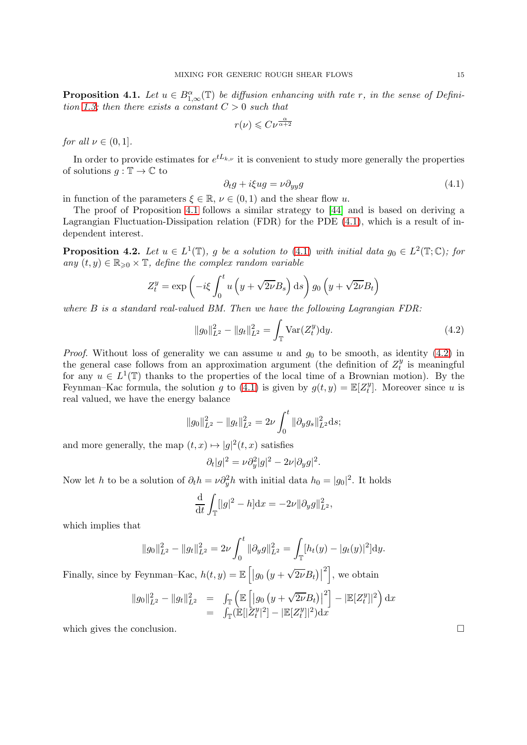<span id="page-14-1"></span>**Proposition 4.1.** Let  $u \in B^{\alpha}_{1,\infty}(\mathbb{T})$  be diffusion enhancing with rate r, in the sense of Defini-tion [1.3;](#page-4-4) then there exists a constant  $C > 0$  such that

$$
r(\nu) \leqslant C \nu^{\frac{\alpha}{\alpha+2}}
$$

for all  $\nu \in (0,1]$ .

In order to provide estimates for  $e^{tL_{k,\nu}}$  it is convenient to study more generally the properties of solutions  $q : \mathbb{T} \to \mathbb{C}$  to

<span id="page-14-2"></span>
$$
\partial_t g + i\xi u g = \nu \partial_{yy} g \tag{4.1}
$$

in function of the parameters  $\xi \in \mathbb{R}$ ,  $\nu \in (0,1)$  and the shear flow u.

The proof of Proposition [4.1](#page-14-1) follows a similar strategy to [\[44\]](#page-29-6) and is based on deriving a Lagrangian Fluctuation-Dissipation relation (FDR) for the PDE [\(4.1\)](#page-14-2), which is a result of independent interest.

<span id="page-14-0"></span>**Proposition 4.2.** Let  $u \in L^1(\mathbb{T})$ , g be a solution to [\(4.1\)](#page-14-2) with initial data  $g_0 \in L^2(\mathbb{T}; \mathbb{C})$ ; for any  $(t, y) \in \mathbb{R}_{\geq 0} \times \mathbb{T}$ , define the complex random variable

$$
Z_t^y = \exp\left(-i\xi \int_0^t u\left(y + \sqrt{2\nu}B_s\right) ds\right) g_0\left(y + \sqrt{2\nu}B_t\right)
$$

where  $B$  is a standard real-valued BM. Then we have the following Lagrangian FDR:

<span id="page-14-3"></span>
$$
||g_0||_{L^2}^2 - ||g_t||_{L^2}^2 = \int_{\mathbb{T}} \text{Var}(Z_t^y) dy.
$$
 (4.2)

*Proof.* Without loss of generality we can assume u and  $g_0$  to be smooth, as identity [\(4.2\)](#page-14-3) in the general case follows from an approximation argument (the definition of  $Z_t^y$  $t_i^y$  is meaningful for any  $u \in L^1(\mathbb{T})$  thanks to the properties of the local time of a Brownian motion). By the Feynman–Kac formula, the solution g to [\(4.1\)](#page-14-2) is given by  $g(t, y) = \mathbb{E}[Z_t^y]$  $t<sup>y</sup>$ . Moreover since u is real valued, we have the energy balance

$$
||g_0||_{L^2}^2 - ||g_t||_{L^2}^2 = 2\nu \int_0^t ||\partial_y g_s||_{L^2}^2 ds;
$$

and more generally, the map  $(t, x) \mapsto |g|^2(t, x)$  satisfies

$$
\partial_t |g|^2 = \nu \partial_y^2 |g|^2 - 2\nu |\partial_y g|^2.
$$

Now let h to be a solution of  $\partial_t h = \nu \partial_y^2 h$  with initial data  $h_0 = |g_0|^2$ . It holds

$$
\frac{\mathrm{d}}{\mathrm{d}t} \int_{\mathbb{T}} [|g|^2 - h] \mathrm{d}x = -2\nu \| \partial_y g \|_{L^2}^2,
$$

which implies that

$$
||g_0||_{L^2}^2 - ||g_t||_{L^2}^2 = 2\nu \int_0^t ||\partial_y g||_{L^2}^2 = \int_{\mathbb{T}} [h_t(y) - |g_t(y)|^2] dy.
$$

Finally, since by Feynman-Kac,  $h(t, y) = \mathbb{E}\left[ g_0 \left( y + \sqrt{2\nu} B_t \right) \right]$  $\left\vert \cdot\right\vert$ , we obtain

$$
||g_0||_{L^2}^2 - ||g_t||_{L^2}^2 = \int_{\mathbb{T}} \left( \mathbb{E} \left[ |g_0 (y + \sqrt{2\nu} B_t)|^2 \right] - |\mathbb{E} [Z_t^y]|^2 \right) dx
$$
  
= 
$$
\int_{\mathbb{T}} (\mathbb{E} [|Z_t^y|^2] - |\mathbb{E} [Z_t^y]|^2) dx
$$

which gives the conclusion.  $\Box$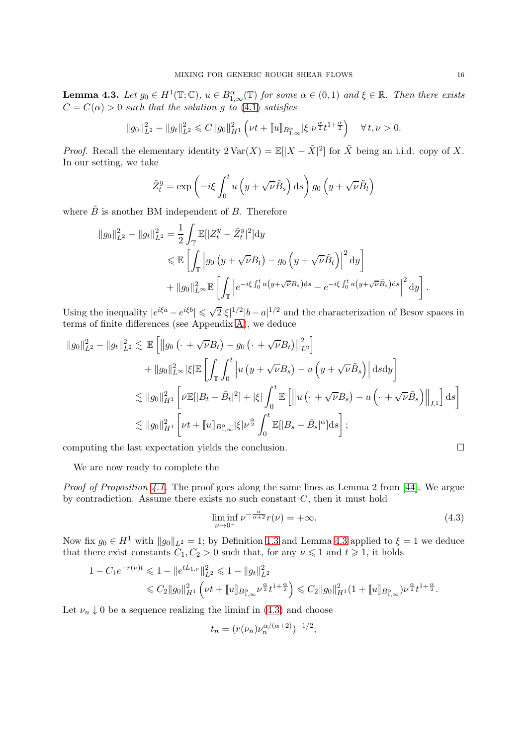<span id="page-15-0"></span>**Lemma 4.3.** Let  $g_0 \in H^1(\mathbb{T}; \mathbb{C})$ ,  $u \in B^{\alpha}_{1,\infty}(\mathbb{T})$  for some  $\alpha \in (0,1)$  and  $\xi \in \mathbb{R}$ . Then there exists  $C = C(\alpha) > 0$  such that the solution g to [\(4.1\)](#page-14-2) satisfies

$$
||g_0||_{L^2}^2 - ||g_t||_{L^2}^2 \leq C||g_0||_{H^1}^2 \left(\nu t + [u]_{B_{1,\infty}^{\alpha}} |\xi| \nu^{\frac{\alpha}{2}} t^{1+\frac{\alpha}{2}}\right) \quad \forall \, t, \nu > 0.
$$

*Proof.* Recall the elementary identity  $2 \text{Var}(X) = \mathbb{E}[|X - \tilde{X}|^2]$  for  $\tilde{X}$  being an i.i.d. copy of X. In our setting, we take

$$
\tilde{Z}_t^y = \exp\left(-i\xi \int_0^t u\left(y + \sqrt{\nu}\tilde{B}_s\right) \mathrm{d}s\right) g_0\left(y + \sqrt{\nu}\tilde{B}_t\right)
$$

where  $\tilde{B}$  is another BM independent of B. Therefore

$$
||g_0||_{L^2}^2 - ||g_t||_{L^2}^2 = \frac{1}{2} \int_{\mathbb{T}} \mathbb{E}[|Z_t^y - \tilde{Z}_t^y|^2] dy
$$
  
\$\leqslant \mathbb{E}\left[\int\_{\mathbb{T}} \left|g\_0\left(y + \sqrt{\nu}B\_t\right) - g\_0\left(y + \sqrt{\nu}\tilde{B}\_t\right)\right|^2 dy\right] \$  
\$+ ||g\_0||\_{L^{\infty}}^2 \mathbb{E}\left[\int\_{\mathbb{T}} \left|e^{-i\xi \int\_0^t u\left(y + \sqrt{\nu}B\_s\right)ds} - e^{-i\xi \int\_0^t u\left(y + \sqrt{\nu}\tilde{B}\_s\right)ds}\right|^2 dy\right].\$

Using the inequality  $|e^{i\xi a} - e^{i\xi b}| \leq \sqrt{2} |\xi|^{1/2} |b - a|^{1/2}$  and the characterization of Besov spaces in terms of finite differences (see Appendix [A\)](#page-25-0), we deduce

$$
\|g_0\|_{L^2}^2 - \|g_t\|_{L^2}^2 \lesssim \mathbb{E}\left[\|g_0\left(\cdot + \sqrt{\nu}B_t\right) - g_0\left(\cdot + \sqrt{\nu}B_t\right)\|_{L^2}^2\right] + \|g_0\|_{L^{\infty}}^2 |\xi| \mathbb{E}\left[\int_{\mathbb{T}} \int_0^t \left|u\left(y + \sqrt{\nu}B_s\right) - u\left(y + \sqrt{\nu}\tilde{B}_s\right)\right| \mathrm{d} s \mathrm{d} y\right] \lesssim \|g_0\|_{H^1}^2 \left[\nu \mathbb{E}[|B_t - \tilde{B}_t|^2] + |\xi| \int_0^t \mathbb{E}\left[\left\|u\left(\cdot + \sqrt{\nu}B_s\right) - u\left(\cdot + \sqrt{\nu}\tilde{B}_s\right)\right\|_{L^1}\right] \mathrm{d} s\right] \lesssim \|g_0\|_{H^1}^2 \left[\nu t + \|u\|_{B_{1,\infty}^{\alpha}} |\xi| \nu^{\frac{\alpha}{2}} \int_0^t \mathbb{E}[|B_s - \tilde{B}_s|^{\alpha}] \mathrm{d} s\right];
$$

computing the last expectation yields the conclusion.  $\Box$ 

We are now ready to complete the

Proof of Proposition [4.1.](#page-14-1) The proof goes along the same lines as Lemma 2 from [\[44\]](#page-29-6). We argue by contradiction. Assume there exists no such constant  $C$ , then it must hold

<span id="page-15-1"></span>
$$
\liminf_{\nu \to 0^+} \nu^{-\frac{\alpha}{\alpha+2}} r(\nu) = +\infty. \tag{4.3}
$$

Now fix  $g_0 \in H^1$  with  $||g_0||_{L^2} = 1$ ; by Definition [1.3](#page-4-4) and Lemma [4.3](#page-15-0) applied to  $\xi = 1$  we deduce that there exist constants  $C_1, C_2 > 0$  such that, for any  $\nu \leq 1$  and  $t \geq 1$ , it holds

$$
1 - C_1 e^{-r(\nu)t} \leq 1 - \|e^{tL_{1,\nu}}\|_{L^2}^2 \leq 1 - \|g_t\|_{L^2}^2
$$
  

$$
\leq C_2 \|g_0\|_{H^1}^2 \left(\nu t + \|u\|_{B_{1,\infty}^\alpha} \nu^{\frac{\alpha}{2}} t^{1+\frac{\alpha}{2}}\right) \leq C_2 \|g_0\|_{H^1}^2 (1 + \|u\|_{B_{1,\infty}^\alpha}) \nu^{\frac{\alpha}{2}} t^{1+\frac{\alpha}{2}}.
$$

Let  $\nu_n \downarrow 0$  be a sequence realizing the liminf in [\(4.3\)](#page-15-1) and choose

$$
t_n = (r(\nu_n)\nu_n^{\alpha/(\alpha+2)})^{-1/2};
$$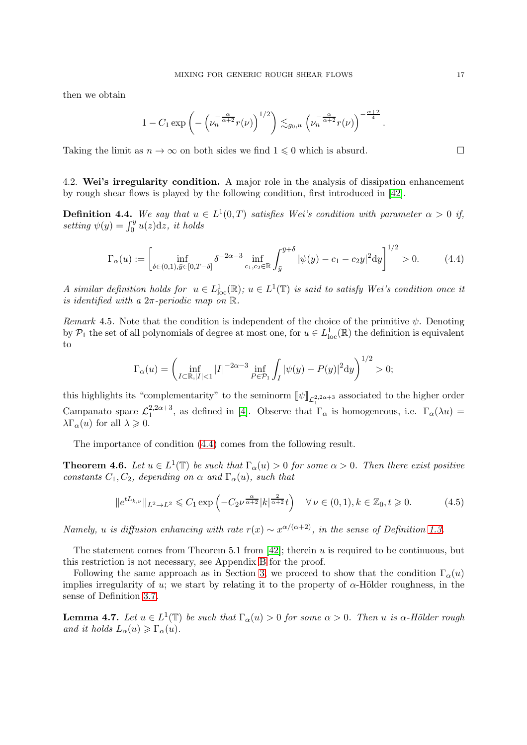then we obtain

$$
1 - C_1 \exp\left(-\left(\nu_n^{-\frac{\alpha}{\alpha+2}} r(\nu)\right)^{1/2}\right) \lesssim_{g_0, u} \left(\nu_n^{-\frac{\alpha}{\alpha+2}} r(\nu)\right)^{-\frac{\alpha+2}{4}}
$$

Taking the limit as  $n \to \infty$  on both sides we find  $1 \leq 0$  which is absurd.

<span id="page-16-0"></span>4.2. Wei's irregularity condition. A major role in the analysis of dissipation enhancement by rough shear flows is played by the following condition, first introduced in [\[42\]](#page-29-2).

<span id="page-16-1"></span>**Definition 4.4.** We say that  $u \in L^1(0,T)$  satisfies Wei's condition with parameter  $\alpha > 0$  if, setting  $\psi(y) = \int_0^y u(z) dz$ , it holds

<span id="page-16-2"></span>
$$
\Gamma_{\alpha}(u) := \left[ \inf_{\delta \in (0,1), \bar{y} \in [0,T-\delta]} \delta^{-2\alpha - 3} \inf_{c_1, c_2 \in \mathbb{R}} \int_{\bar{y}}^{\bar{y}+\delta} |\psi(y) - c_1 - c_2 y|^2 dy \right]^{1/2} > 0. \tag{4.4}
$$

A similar definition holds for  $u \in L^1_{loc}(\mathbb{R})$ ;  $u \in L^1(\mathbb{T})$  is said to satisfy Wei's condition once it is identified with a  $2\pi$ -periodic map on  $\mathbb R$ .

Remark 4.5. Note that the condition is independent of the choice of the primitive  $\psi$ . Denoting by  $P_1$  the set of all polynomials of degree at most one, for  $u \in L^1_{loc}(\mathbb{R})$  the definition is equivalent to

$$
\Gamma_{\alpha}(u) = \left(\inf_{I \subset \mathbb{R}, |I| < 1} |I|^{-2\alpha - 3} \inf_{P \in \mathcal{P}_1} \int_I |\psi(y) - P(y)|^2 dy\right)^{1/2} > 0;
$$

this highlights its "complementarity" to the seminorm  $[\![\psi]\!]_{\mathcal{L}^{2,2\alpha+3}_1}$  associated to the higher order Campanato space  $\mathcal{L}_1^{2,2\alpha+3}$ <sup>2,2 $\alpha$ +3</sup>, as defined in [\[4\]](#page-28-16). Observe that  $\Gamma_{\alpha}$  is homogeneous, i.e.  $\Gamma_{\alpha}(\lambda u) =$  $\lambda \Gamma_{\alpha}(u)$  for all  $\lambda \geqslant 0$ .

The importance of condition [\(4.4\)](#page-16-2) comes from the following result.

<span id="page-16-3"></span>**Theorem 4.6.** Let  $u \in L^1(\mathbb{T})$  be such that  $\Gamma_\alpha(u) > 0$  for some  $\alpha > 0$ . Then there exist positive constants  $C_1, C_2$ , depending on  $\alpha$  and  $\Gamma_{\alpha}(u)$ , such that

$$
||e^{tL_{k,\nu}}||_{L^2\to L^2} \leq C_1 \exp\left(-C_2 \nu^{\frac{\alpha}{\alpha+2}}|k|^{\frac{2}{\alpha+2}}t\right) \quad \forall \nu \in (0,1), k \in \mathbb{Z}_0, t \geq 0. \tag{4.5}
$$

Namely, u is diffusion enhancing with rate  $r(x) \sim x^{\alpha/(\alpha+2)}$ , in the sense of Definition [1.3.](#page-4-4)

The statement comes from Theorem 5.1 from [\[42\]](#page-29-2); therein u is required to be continuous, but this restriction is not necessary, see Appendix [B](#page-27-0) for the proof.

Following the same approach as in Section [3,](#page-8-0) we proceed to show that the condition  $\Gamma_{\alpha}(u)$ implies irregularity of u; we start by relating it to the property of  $\alpha$ -Hölder roughness, in the sense of Definition [3.7.](#page-11-1)

**Lemma 4.7.** Let  $u \in L^1(\mathbb{T})$  be such that  $\Gamma_\alpha(u) > 0$  for some  $\alpha > 0$ . Then u is  $\alpha$ -Hölder rough and it holds  $L_{\alpha}(u) \geqslant \Gamma_{\alpha}(u)$ .

.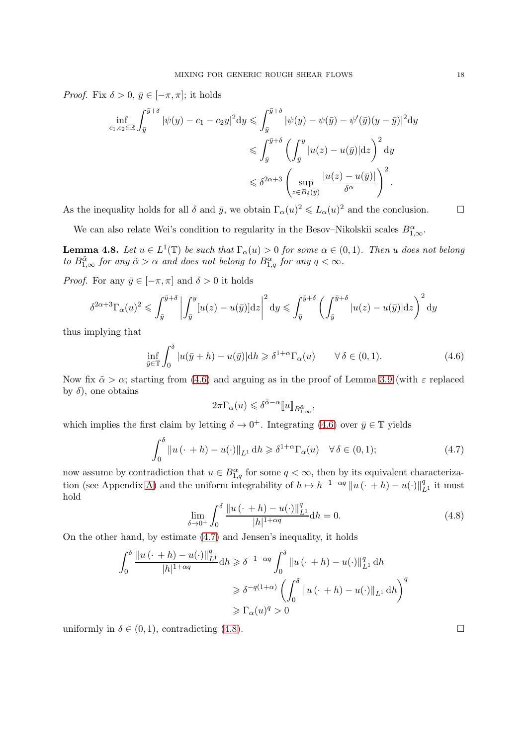*Proof.* Fix  $\delta > 0$ ,  $\bar{y} \in [-\pi, \pi]$ ; it holds

$$
\inf_{c_1, c_2 \in \mathbb{R}} \int_{\bar{y}}^{\bar{y}+\delta} |\psi(y) - c_1 - c_2 y|^2 dy \le \int_{\bar{y}}^{\bar{y}+\delta} |\psi(y) - \psi(\bar{y}) - \psi'(\bar{y})(y - \bar{y})|^2 dy
$$
  

$$
\le \int_{\bar{y}}^{\bar{y}+\delta} \left( \int_{\bar{y}}^y |u(z) - u(\bar{y})| dz \right)^2 dy
$$
  

$$
\le \delta^{2\alpha+3} \left( \sup_{z \in B_{\delta}(\bar{y})} \frac{|u(z) - u(\bar{y})|}{\delta^{\alpha}} \right)^2.
$$

As the inequality holds for all  $\delta$  and  $\bar{y}$ , we obtain  $\Gamma_{\alpha}(u)^2 \leq L_{\alpha}(u)^2$  and the conclusion.

We can also relate Wei's condition to regularity in the Besov–Nikolskii scales  $B^{\alpha}_{1,\infty}$ .

<span id="page-17-0"></span>**Lemma 4.8.** Let  $u \in L^1(\mathbb{T})$  be such that  $\Gamma_\alpha(u) > 0$  for some  $\alpha \in (0,1)$ . Then u does not belong to  $B_{1,\infty}^{\tilde{\alpha}}$  for any  $\tilde{\alpha} > \alpha$  and does not belong to  $B_{1,q}^{\alpha}$  for any  $q < \infty$ .

*Proof.* For any  $\bar{y} \in [-\pi, \pi]$  and  $\delta > 0$  it holds

$$
\delta^{2\alpha+3}\Gamma_{\alpha}(u)^{2} \leq \int_{\bar{y}}^{\bar{y}+\delta} \left| \int_{\bar{y}}^{y} [u(z) - u(\bar{y})] \mathrm{d}z \right|^{2} \mathrm{d}y \leq \int_{\bar{y}}^{\bar{y}+\delta} \left( \int_{\bar{y}}^{\bar{y}+\delta} |u(z) - u(\bar{y})| \mathrm{d}z \right)^{2} \mathrm{d}y
$$

thus implying that

<span id="page-17-1"></span>
$$
\inf_{\bar{y}\in\mathbb{T}}\int_0^\delta |u(\bar{y}+h) - u(\bar{y})| \mathrm{d}h \geq \delta^{1+\alpha} \Gamma_\alpha(u) \qquad \forall \delta \in (0,1). \tag{4.6}
$$

Now fix  $\tilde{\alpha} > \alpha$ ; starting from [\(4.6\)](#page-17-1) and arguing as in the proof of Lemma [3.9](#page-11-0) (with  $\varepsilon$  replaced by  $\delta$ , one obtains

$$
2\pi\Gamma_\alpha(u)\leqslant \delta^{\tilde{\alpha}-\alpha}[\![u]\!]_{B^{\tilde{\alpha}}_{1,\infty}},
$$

which implies the first claim by letting  $\delta \to 0^+$ . Integrating [\(4.6\)](#page-17-1) over  $\bar{y} \in \mathbb{T}$  yields

<span id="page-17-2"></span>
$$
\int_0^\delta \|u(\cdot + h) - u(\cdot)\|_{L^1} \, \mathrm{d}h \ge \delta^{1+\alpha} \Gamma_\alpha(u) \quad \forall \, \delta \in (0, 1); \tag{4.7}
$$

now assume by contradiction that  $u \in B^{\alpha}_{1,q}$  for some  $q < \infty$ , then by its equivalent characteriza-tion (see Appendix [A\)](#page-25-0) and the uniform integrability of  $h \mapsto h^{-1-\alpha q} ||u(\cdot + h) - u(\cdot)||_{L^1}^q$  it must hold

<span id="page-17-3"></span>
$$
\lim_{\delta \to 0^+} \int_0^\delta \frac{\|u(\cdot + h) - u(\cdot)\|_{L^1}^q}{|h|^{1 + \alpha q}} dh = 0.
$$
\n(4.8)

On the other hand, by estimate [\(4.7\)](#page-17-2) and Jensen's inequality, it holds

$$
\int_0^\delta \frac{\|u(\cdot+h) - u(\cdot)\|_{L^1}^q}{|h|^{1+\alpha q}} dh \ge \delta^{-1-\alpha q} \int_0^\delta \|u(\cdot+h) - u(\cdot)\|_{L^1}^q dh
$$
  

$$
\ge \delta^{-q(1+\alpha)} \left(\int_0^\delta \|u(\cdot+h) - u(\cdot)\|_{L^1} dh\right)^q
$$
  

$$
\ge \Gamma_\alpha(u)^q > 0
$$

uniformly in  $\delta \in (0,1)$ , contradicting [\(4.8\)](#page-17-3).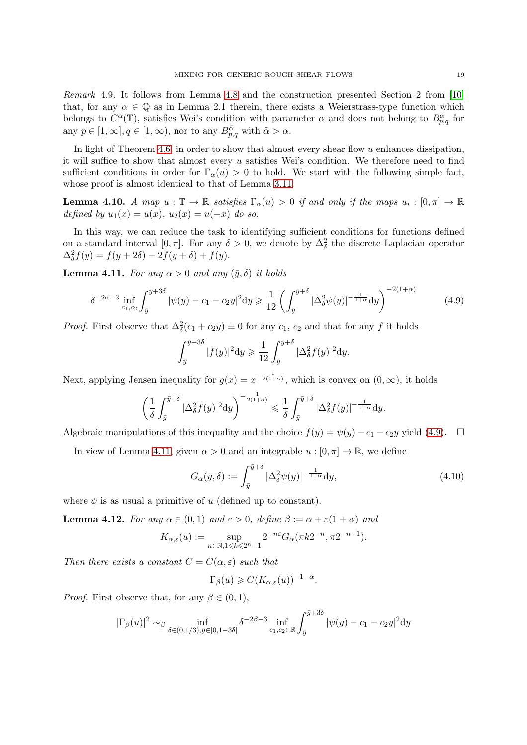Remark 4.9. It follows from Lemma [4.8](#page-17-0) and the construction presented Section 2 from [\[10\]](#page-28-1) that, for any  $\alpha \in \mathbb{Q}$  as in Lemma 2.1 therein, there exists a Weierstrass-type function which belongs to  $C^{\alpha}(\mathbb{T})$ , satisfies Wei's condition with parameter  $\alpha$  and does not belong to  $B^{\alpha}_{p,q}$  for any  $p \in [1, \infty], q \in [1, \infty)$ , nor to any  $B_{p,q}^{\tilde{\alpha}}$  with  $\tilde{\alpha} > \alpha$ .

In light of Theorem [4.6,](#page-16-3) in order to show that almost every shear flow  $u$  enhances dissipation, it will suffice to show that almost every  $u$  satisfies Wei's condition. We therefore need to find sufficient conditions in order for  $\Gamma_{\alpha}(u) > 0$  to hold. We start with the following simple fact, whose proof is almost identical to that of Lemma [3.11.](#page-12-1)

**Lemma 4.10.** A map  $u : \mathbb{T} \to \mathbb{R}$  satisfies  $\Gamma_{\alpha}(u) > 0$  if and only if the maps  $u_i : [0, \pi] \to \mathbb{R}$ defined by  $u_1(x) = u(x)$ ,  $u_2(x) = u(-x)$  do so.

In this way, we can reduce the task to identifying sufficient conditions for functions defined on a standard interval [0,  $\pi$ ]. For any  $\delta > 0$ , we denote by  $\Delta_{\delta}^2$  the discrete Laplacian operator  $\Delta_{\delta}^{2} f(y) = f(y + 2\delta) - 2f(y + \delta) + f(y).$ 

<span id="page-18-1"></span>**Lemma 4.11.** For any  $\alpha > 0$  and any  $(\bar{y}, \delta)$  it holds

<span id="page-18-0"></span>
$$
\delta^{-2\alpha-3} \inf_{c_1, c_2} \int_{\bar{y}}^{\bar{y}+3\delta} |\psi(y) - c_1 - c_2 y|^2 dy \ge \frac{1}{12} \left( \int_{\bar{y}}^{\bar{y}+\delta} |\Delta_{\delta}^2 \psi(y)|^{-\frac{1}{1+\alpha}} dy \right)^{-2(1+\alpha)}
$$
(4.9)

*Proof.* First observe that  $\Delta_{\delta}^2(c_1 + c_2y) \equiv 0$  for any  $c_1$ ,  $c_2$  and that for any f it holds

$$
\int_{\bar{y}}^{\bar{y}+3\delta} |f(y)|^2 dy \geq \frac{1}{12} \int_{\bar{y}}^{\bar{y}+\delta} |\Delta_{\delta}^2 f(y)|^2 dy.
$$

Next, applying Jensen inequality for  $g(x) = x^{-\frac{1}{2(1+\alpha)}}$ , which is convex on  $(0, \infty)$ , it holds

$$
\left(\frac{1}{\delta}\int_{\bar{y}}^{\bar{y}+\delta}|\Delta_{\delta}^2f(y)|^2\mathrm{d}y\right)^{-\frac{1}{2(1+\alpha)}} \leq \frac{1}{\delta}\int_{\bar{y}}^{\bar{y}+\delta}|\Delta_{\delta}^2f(y)|^{-\frac{1}{1+\alpha}}\mathrm{d}y.
$$

Algebraic manipulations of this inequality and the choice  $f(y) = \psi(y) - c_1 - c_2y$  yield [\(4.9\)](#page-18-0).  $\Box$ 

In view of Lemma [4.11,](#page-18-1) given  $\alpha > 0$  and an integrable  $u : [0, \pi] \to \mathbb{R}$ , we define

<span id="page-18-3"></span>
$$
G_{\alpha}(y,\delta) := \int_{\bar{y}}^{\bar{y}+\delta} |\Delta_{\delta}^2 \psi(y)|^{-\frac{1}{1+\alpha}} dy,
$$
\n(4.10)

where  $\psi$  is as usual a primitive of u (defined up to constant).

<span id="page-18-2"></span>**Lemma 4.12.** For any  $\alpha \in (0,1)$  and  $\varepsilon > 0$ , define  $\beta := \alpha + \varepsilon(1+\alpha)$  and

$$
K_{\alpha,\varepsilon}(u):=\sup_{n\in\mathbb{N},1\leqslant k\leqslant 2^n-1}2^{-n\varepsilon}G_{\alpha}(\pi k2^{-n},\pi 2^{-n-1}).
$$

Then there exists a constant  $C = C(\alpha, \varepsilon)$  such that

$$
\Gamma_{\beta}(u) \geqslant C(K_{\alpha,\varepsilon}(u))^{-1-\alpha}.
$$

*Proof.* First observe that, for any  $\beta \in (0, 1)$ ,

$$
|\Gamma_{\beta}(u)|^2 \sim_{\beta} \inf_{\delta \in (0,1/3), \bar{y} \in [0,1-3\delta]} \delta^{-2\beta-3} \inf_{c_1, c_2 \in \mathbb{R}} \int_{\bar{y}}^{\bar{y}+3\delta} |\psi(y) - c_1 - c_2 y|^2 dy
$$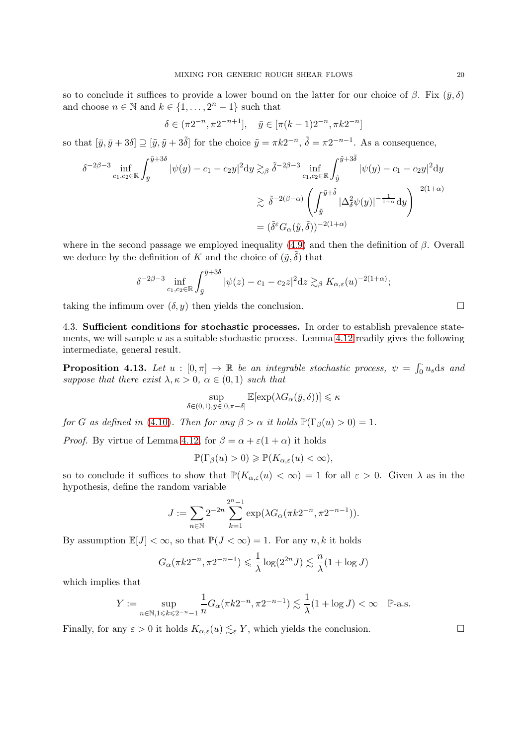so to conclude it suffices to provide a lower bound on the latter for our choice of  $\beta$ . Fix  $(\bar{y}, \delta)$ and choose  $n \in \mathbb{N}$  and  $k \in \{1, \ldots, 2^n - 1\}$  such that

$$
\delta \in (\pi 2^{-n}, \pi 2^{-n+1}], \quad \bar{y} \in [\pi (k-1) 2^{-n}, \pi k 2^{-n}]
$$

so that  $[\bar{y}, \bar{y} + 3\delta] \supseteq [\tilde{y}, \tilde{y} + 3\tilde{\delta}]$  for the choice  $\tilde{y} = \pi k 2^{-n}$ ,  $\tilde{\delta} = \pi 2^{-n-1}$ . As a consequence,

$$
\delta^{-2\beta-3} \inf_{c_1, c_2 \in \mathbb{R}} \int_{\bar{y}}^{\bar{y}+3\delta} |\psi(y) - c_1 - c_2 y|^2 dy \gtrsim_{\beta} \tilde{\delta}^{-2\beta-3} \inf_{c_1, c_2 \in \mathbb{R}} \int_{\tilde{y}}^{\tilde{y}+3\tilde{\delta}} |\psi(y) - c_1 - c_2 y|^2 dy
$$
  

$$
\gtrsim \tilde{\delta}^{-2(\beta-\alpha)} \left( \int_{\tilde{y}}^{\tilde{y}+\tilde{\delta}} |\Delta_{\tilde{\delta}}^2 \psi(y)|^{-\frac{1}{1+\alpha}} dy \right)^{-2(1+\alpha)}
$$
  

$$
= (\tilde{\delta}^{\varepsilon} G_{\alpha}(\tilde{y}, \tilde{\delta}))^{-2(1+\alpha)}
$$

where in the second passage we employed inequality  $(4.9)$  and then the definition of  $\beta$ . Overall we deduce by the definition of K and the choice of  $(\tilde{y}, \tilde{\delta})$  that

$$
\delta^{-2\beta-3} \inf_{c_1,c_2\in\mathbb{R}} \int_{\bar{y}}^{\bar{y}+3\delta} |\psi(z)-c_1-c_2z|^2 \mathrm{d}z \gtrsim_{\beta} K_{\alpha,\varepsilon}(u)^{-2(1+\alpha)};
$$

<span id="page-19-0"></span>taking the infimum over  $(\delta, y)$  then yields the conclusion.

4.3. Sufficient conditions for stochastic processes. In order to establish prevalence statements, we will sample  $u$  as a suitable stochastic process. Lemma [4.12](#page-18-2) readily gives the following intermediate, general result.

<span id="page-19-1"></span>**Proposition 4.13.** Let  $u : [0, \pi] \to \mathbb{R}$  be an integrable stochastic process,  $\psi = \int_0^{\pi} u_s ds$  and suppose that there exist  $\lambda, \kappa > 0, \alpha \in (0,1)$  such that

$$
\sup_{\delta \in (0,1), \bar{y} \in [0,\pi-\delta]} \mathbb{E}[\exp(\lambda G_{\alpha}(\bar{y}, \delta))] \leqslant \kappa
$$

for G as defined in [\(4.10\)](#page-18-3). Then for any  $\beta > \alpha$  it holds  $\mathbb{P}(\Gamma_{\beta}(u) > 0) = 1$ .

*Proof.* By virtue of Lemma [4.12,](#page-18-2) for  $\beta = \alpha + \varepsilon(1 + \alpha)$  it holds

$$
\mathbb{P}(\Gamma_{\beta}(u) > 0) \geq \mathbb{P}(K_{\alpha,\varepsilon}(u) < \infty),
$$

so to conclude it suffices to show that  $\mathbb{P}(K_{\alpha,\varepsilon}(u) < \infty) = 1$  for all  $\varepsilon > 0$ . Given  $\lambda$  as in the hypothesis, define the random variable

$$
J := \sum_{n \in \mathbb{N}} 2^{-2n} \sum_{k=1}^{2^{n}-1} \exp(\lambda G_{\alpha}(\pi k 2^{-n}, \pi 2^{-n-1})).
$$

By assumption  $\mathbb{E}[J] < \infty$ , so that  $\mathbb{P}(J < \infty) = 1$ . For any n, k it holds

$$
G_{\alpha}(\pi k 2^{-n}, \pi 2^{-n-1}) \leq \frac{1}{\lambda} \log(2^{2n} J) \lesssim \frac{n}{\lambda} (1 + \log J)
$$

which implies that

$$
Y := \sup_{n \in \mathbb{N}, 1 \le k \le 2^{-n} - 1} \frac{1}{n} G_{\alpha}(\pi k 2^{-n}, \pi 2^{-n-1}) \lesssim \frac{1}{\lambda} (1 + \log J) < \infty \quad \mathbb{P}\text{-a.s.}
$$

Finally, for any  $\varepsilon > 0$  it holds  $K_{\alpha,\varepsilon}(u) \lesssim_{\varepsilon} Y$ , which yields the conclusion.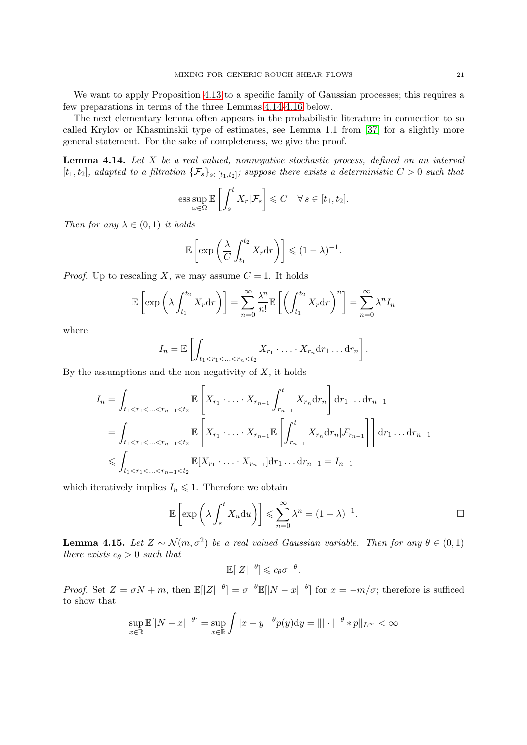We want to apply Proposition [4.13](#page-19-1) to a specific family of Gaussian processes; this requires a few preparations in terms of the three Lemmas [4.14-](#page-20-0)[4.16](#page-21-0) below.

The next elementary lemma often appears in the probabilistic literature in connection to so called Krylov or Khasminskii type of estimates, see Lemma 1.1 from [\[37\]](#page-29-17) for a slightly more general statement. For the sake of completeness, we give the proof.

<span id="page-20-0"></span>**Lemma 4.14.** Let  $X$  be a real valued, nonnegative stochastic process, defined on an interval  $[t_1, t_2]$ , adapted to a filtration  $\{\mathcal{F}_s\}_{s \in [t_1, t_2]}$ ; suppose there exists a deterministic  $C > 0$  such that

$$
\operatorname{ess} \sup_{\omega \in \Omega} \mathbb{E} \left[ \int_s^t X_r | \mathcal{F}_s \right] \leqslant C \quad \forall \, s \in [t_1, t_2].
$$

Then for any  $\lambda \in (0,1)$  it holds

$$
\mathbb{E}\left[\exp\left(\frac{\lambda}{C}\int_{t_1}^{t_2}X_r\mathrm{d}r\right)\right]\leqslant (1-\lambda)^{-1}.
$$

*Proof.* Up to rescaling X, we may assume  $C = 1$ . It holds

$$
\mathbb{E}\left[\exp\left(\lambda \int_{t_1}^{t_2} X_r \mathrm{d}r\right)\right] = \sum_{n=0}^{\infty} \frac{\lambda^n}{n!} \mathbb{E}\left[\left(\int_{t_1}^{t_2} X_r \mathrm{d}r\right)^n\right] = \sum_{n=0}^{\infty} \lambda^n I_n
$$

where

$$
I_n = \mathbb{E}\left[\int_{t_1 < r_1 < \ldots < r_n < t_2} X_{r_1} \cdot \ldots \cdot X_{r_n} dr_1 \ldots dr_n\right].
$$

By the assumptions and the non-negativity of  $X$ , it holds

$$
I_{n} = \int_{t_{1} < r_{1} < ... < r_{n-1} < t_{2}} \mathbb{E}\left[X_{r_{1}} \cdot ... \cdot X_{r_{n-1}} \int_{r_{n-1}}^{t} X_{r_{n}} dr_{n}\right] dr_{1} ... dr_{n-1}
$$
  
\n
$$
= \int_{t_{1} < r_{1} < ... < r_{n-1} < t_{2}} \mathbb{E}\left[X_{r_{1}} \cdot ... \cdot X_{r_{n-1}} \mathbb{E}\left[\int_{r_{n-1}}^{t} X_{r_{n}} dr_{n} | \mathcal{F}_{r_{n-1}}\right]\right] dr_{1} ... dr_{n-1}
$$
  
\n
$$
\leq \int_{t_{1} < r_{1} < ... < r_{n-1} < t_{2}} \mathbb{E}[X_{r_{1}} \cdot ... \cdot X_{r_{n-1}}] dr_{1} ... dr_{n-1} = I_{n-1}
$$

which iteratively implies  $I_n \leq 1$ . Therefore we obtain

$$
\mathbb{E}\left[\exp\left(\lambda \int_s^t X_u \mathrm{d}u\right)\right] \leqslant \sum_{n=0}^\infty \lambda^n = (1-\lambda)^{-1}.
$$

<span id="page-20-1"></span>**Lemma 4.15.** Let  $Z \sim \mathcal{N}(m, \sigma^2)$  be a real valued Gaussian variable. Then for any  $\theta \in (0, 1)$ there exists  $c_{\theta} > 0$  such that

$$
\mathbb{E}[|Z|^{-\theta}] \leqslant c_{\theta} \sigma^{-\theta}.
$$

*Proof.* Set  $Z = \sigma N + m$ , then  $\mathbb{E}[|Z|^{-\theta}] = \sigma^{-\theta} \mathbb{E}[|N-x|^{-\theta}]$  for  $x = -m/\sigma$ ; therefore is sufficed to show that

$$
\sup_{x \in \mathbb{R}} \mathbb{E}[|N-x|^{-\theta}] = \sup_{x \in \mathbb{R}} \int |x-y|^{-\theta} p(y) dy = ||| \cdot |^{-\theta} * p||_{L^{\infty}} < \infty
$$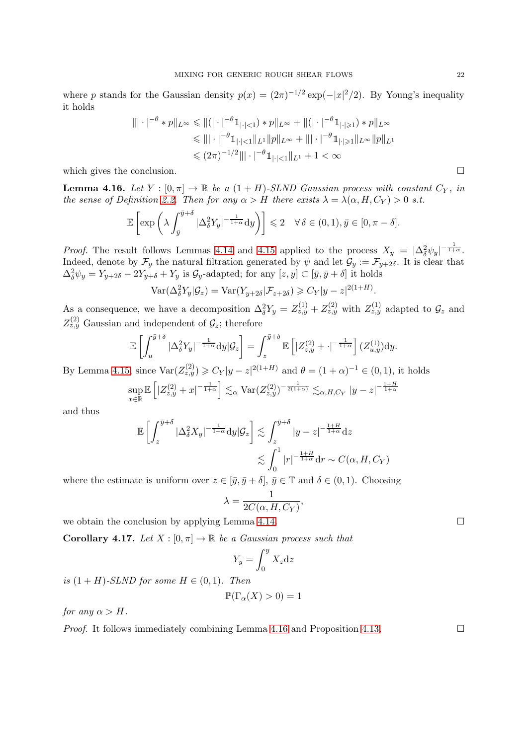where p stands for the Gaussian density  $p(x) = (2\pi)^{-1/2} \exp(-|x|^2/2)$ . By Young's inequality it holds

$$
\|\cdot|^{-\theta} * p\|_{L^{\infty}} \le \|\|(|\cdot|^{-\theta} \mathbb{1}_{|\cdot|<1}) * p\|_{L^{\infty}} + \|(|\cdot|^{-\theta} \mathbb{1}_{|\cdot| \ge 1}) * p\|_{L^{\infty}}
$$
  
\n
$$
\le \|\| \cdot|^{-\theta} \mathbb{1}_{|\cdot|<1} \|_{L^{1}} \|p\|_{L^{\infty}} + \|\| \cdot|^{-\theta} \mathbb{1}_{|\cdot| \ge 1} \|_{L^{\infty}} \|p\|_{L^{1}}
$$
  
\n
$$
\le (2\pi)^{-1/2} \|\| \cdot|^{-\theta} \mathbb{1}_{|\cdot|<1} \|_{L^{1}} + 1 < \infty
$$

which gives the conclusion.  $\Box$ 

<span id="page-21-0"></span>**Lemma 4.16.** Let  $Y : [0, \pi] \to \mathbb{R}$  be a  $(1 + H)$ -SLND Gaussian process with constant  $C_Y$ , in the sense of Definition [2.2.](#page-8-3) Then for any  $\alpha > H$  there exists  $\lambda = \lambda(\alpha, H, C_Y) > 0$  s.t.

$$
\mathbb{E}\left[\exp\left(\lambda \int_{\bar{y}}^{\bar{y}+\delta} |\Delta_{\delta}^2 Y_y|^{-\frac{1}{1+\alpha}} dy\right)\right] \leq 2 \quad \forall \delta \in (0,1), \bar{y} \in [0, \pi - \delta].
$$

*Proof.* The result follows Lemmas [4.14](#page-20-0) and [4.15](#page-20-1) applied to the process  $X_y = |\Delta_{\delta}^2 \psi_y|^{-\frac{1}{1+\alpha}}$ . Indeed, denote by  $\mathcal{F}_y$  the natural filtration generated by  $\psi$  and let  $\mathcal{G}_y := \mathcal{F}_{y+2\delta}$ . It is clear that  $\Delta_{\delta}^2 \psi_y = Y_{y+2\delta} - 2Y_{y+\delta} + Y_y$  is  $\mathcal{G}_y$ -adapted; for any  $[z, y] \subset [\bar{y}, \bar{y} + \delta]$  it holds

$$
\text{Var}(\Delta_{\delta}^2 Y_y | \mathcal{G}_z) = \text{Var}(Y_{y+2\delta} | \mathcal{F}_{z+2\delta}) \geqslant C_Y |y-z|^{2(1+H)}.
$$

As a consequence, we have a decomposition  $\Delta_{\delta}^2 Y_y = Z_{z,y}^{(1)} + Z_{z,y}^{(2)}$  with  $Z_{z,y}^{(1)}$  adapted to  $\mathcal{G}_z$  and  $Z_{z,y}^{(2)}$  Gaussian and independent of  $\mathcal{G}_z$ ; therefore

$$
\mathbb{E}\left[\int_{u}^{\bar{y}+\delta} |\Delta_{\delta}^2 Y_y|^{-\frac{1}{1+\alpha}} dy |\mathcal{G}_z\right] = \int_{z}^{\bar{y}+\delta} \mathbb{E}\left[|Z_{z,y}^{(2)} + \cdot|^{-\frac{1}{1+\alpha}}\right] (Z_{u,y}^{(1)}) dy.
$$

By Lemma [4.15,](#page-20-1) since  $\text{Var}(Z_{z,y}^{(2)}) \geqslant C_Y |y-z|^{2(1+H)}$  and  $\theta = (1+\alpha)^{-1} \in (0,1)$ , it holds sup x∈R  $\mathbb{E}\left[|Z_{z,y}^{(2)}+x|^{-\frac{1}{1+\alpha}}\right]\lesssim_{\alpha} \text{Var}(Z_{z,y}^{(2)})^{-\frac{1}{2(1+\alpha)}}\lesssim_{\alpha, H,C_Y} |y-z|^{-\frac{1+H}{1+\alpha}}$ 

and thus

$$
\mathbb{E}\left[\int_{z}^{\bar{y}+\delta} |\Delta_{\delta}^{2}X_{y}|^{-\frac{1}{1+\alpha}}\mathrm{d}y|\mathcal{G}_{z}\right] \lesssim \int_{z}^{\bar{y}+\delta} |y-z|^{-\frac{1+H}{1+\alpha}}\mathrm{d}z
$$

$$
\lesssim \int_{0}^{1} |r|^{-\frac{1+H}{1+\alpha}}\mathrm{d}r \sim C(\alpha, H, C_{Y})
$$

where the estimate is uniform over  $z \in [\bar{y}, \bar{y} + \delta], \, \bar{y} \in \mathbb{T}$  and  $\delta \in (0, 1)$ . Choosing

$$
\lambda = \frac{1}{2C(\alpha, H, C_Y)},
$$

we obtain the conclusion by applying Lemma [4.14.](#page-20-0)  $\Box$ 

<span id="page-21-1"></span>**Corollary 4.17.** Let  $X : [0, \pi] \to \mathbb{R}$  be a Gaussian process such that

$$
Y_y = \int_0^y X_z \mathrm{d}z
$$

is  $(1 + H)$ -SLND for some  $H \in (0, 1)$ . Then

$$
\mathbb{P}(\Gamma_{\alpha}(X) > 0) = 1
$$

for any  $\alpha > H$ .

*Proof.* It follows immediately combining Lemma [4.16](#page-21-0) and Proposition [4.13.](#page-19-1)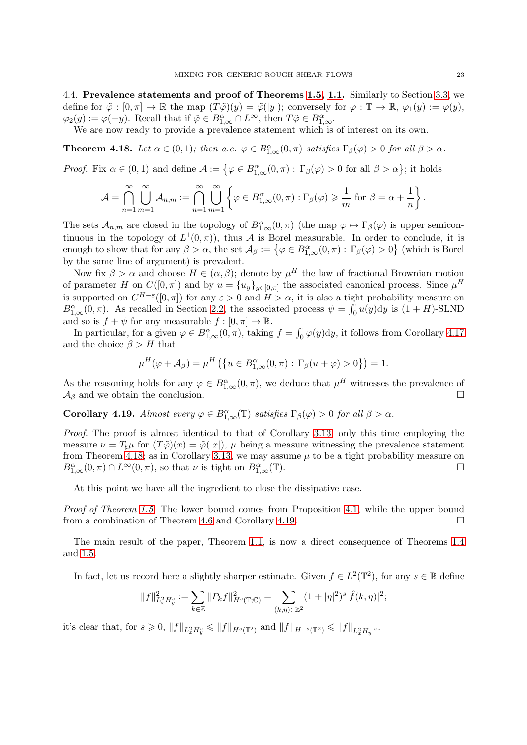<span id="page-22-0"></span>4.4. Prevalence statements and proof of Theorems [1.5,](#page-5-0) [1.1.](#page-1-0) Similarly to Section [3.3,](#page-12-0) we define for  $\tilde{\varphi}: [0, \pi] \to \mathbb{R}$  the map  $(T\tilde{\varphi})(y) = \tilde{\varphi}(|y|)$ ; conversely for  $\varphi : \mathbb{T} \to \mathbb{R}$ ,  $\varphi_1(y) := \varphi(y)$ ,  $\varphi_2(y) := \varphi(-y)$ . Recall that if  $\tilde{\varphi} \in B^{\alpha}_{1,\infty} \cap L^{\infty}$ , then  $T\tilde{\varphi} \in B^{\alpha}_{1,\infty}$ .

We are now ready to provide a prevalence statement which is of interest on its own.

<span id="page-22-1"></span>**Theorem 4.18.** Let  $\alpha \in (0,1)$ ; then  $a.e. \varphi \in B^{\alpha}_{1,\infty}(0,\pi)$  satisfies  $\Gamma_{\beta}(\varphi) > 0$  for all  $\beta > \alpha$ .

*Proof.* Fix  $\alpha \in (0, 1)$  and define  $\mathcal{A} := \{ \varphi \in B^{\alpha}_{1, \infty}(0, \pi) : \Gamma_{\beta}(\varphi) > 0 \text{ for all } \beta > \alpha \};$  it holds

$$
\mathcal{A} = \bigcap_{n=1}^{\infty} \bigcup_{m=1}^{\infty} \mathcal{A}_{n,m} := \bigcap_{n=1}^{\infty} \bigcup_{m=1}^{\infty} \left\{ \varphi \in B_{1,\infty}^{\alpha}(0,\pi) : \Gamma_{\beta}(\varphi) \geqslant \frac{1}{m} \text{ for } \beta = \alpha + \frac{1}{n} \right\}.
$$

The sets  $\mathcal{A}_{n,m}$  are closed in the topology of  $B_{1,\infty}^{\alpha}(0,\pi)$  (the map  $\varphi \mapsto \Gamma_{\beta}(\varphi)$  is upper semicontinuous in the topology of  $L^1(0,\pi)$ , thus A is Borel measurable. In order to conclude, it is enough to show that for any  $\beta > \alpha$ , the set  $\mathcal{A}_{\beta} := \{ \varphi \in B_{1,\infty}^{\alpha}(0,\pi) : \Gamma_{\beta}(\varphi) > 0 \}$  (which is Borel by the same line of argument) is prevalent.

Now fix  $\beta > \alpha$  and choose  $H \in (\alpha, \beta)$ ; denote by  $\mu^H$  the law of fractional Brownian motion of parameter H on  $C([0,\pi])$  and by  $u = \{u_y\}_{y \in [0,\pi]}$  the associated canonical process. Since  $\mu^H$ is supported on  $C^{H-\varepsilon}([0,\pi])$  for any  $\varepsilon > 0$  and  $H > \alpha$ , it is also a tight probability measure on  $B_{1,\infty}^{\alpha}(0,\pi)$ . As recalled in Section [2.2,](#page-7-0) the associated process  $\psi = \int_0^{\pi} u(y) dy$  is  $(1+H)$ -SLND and so is  $f + \psi$  for any measurable  $f : [0, \pi] \to \mathbb{R}$ .

In particular, for a given  $\varphi \in B^{\alpha}_{1,\infty}(0,\pi)$ , taking  $f = \int_0^{\cdot} \varphi(y) dy$ , it follows from Corollary [4.17](#page-21-1) and the choice  $\beta > H$  that

$$
\mu^H(\varphi + \mathcal{A}_{\beta}) = \mu^H \left( \left\{ u \in B^{\alpha}_{1,\infty}(0,\pi) : \Gamma_{\beta}(u+\varphi) > 0 \right\} \right) = 1.
$$

As the reasoning holds for any  $\varphi \in B^{\alpha}_{1,\infty}(0,\pi)$ , we deduce that  $\mu^H$  witnesses the prevalence of  $\mathcal{A}_{\beta}$  and we obtain the conclusion.

<span id="page-22-2"></span>**Corollary 4.19.** Almost every  $\varphi \in B^{\alpha}_{1,\infty}(\mathbb{T})$  satisfies  $\Gamma_{\beta}(\varphi) > 0$  for all  $\beta > \alpha$ .

Proof. The proof is almost identical to that of Corollary [3.13,](#page-13-2) only this time employing the measure  $\nu = T_{\sharp}\mu$  for  $(T\tilde{\varphi})(x) = \tilde{\varphi}(|x|)$ ,  $\mu$  being a measure witnessing the prevalence statement from Theorem [4.18;](#page-22-1) as in Corollary [3.13,](#page-13-2) we may assume  $\mu$  to be a tight probability measure on  $B_{1,\infty}^{\alpha}(0,\pi) \cap L^{\infty}(0,\pi)$ , so that  $\nu$  is tight on  $B_{1,\infty}^{\alpha}(\mathbb{T})$ .

At this point we have all the ingredient to close the dissipative case.

Proof of Theorem [1.5.](#page-5-0) The lower bound comes from Proposition [4.1,](#page-14-1) while the upper bound from a combination of Theorem [4.6](#page-16-3) and Corollary [4.19.](#page-22-2)

The main result of the paper, Theorem [1.1,](#page-1-0) is now a direct consequence of Theorems [1](#page-4-0).4 and [1.5.](#page-5-0)

In fact, let us record here a slightly sharper estimate. Given  $f \in L^2(\mathbb{T}^2)$ , for any  $s \in \mathbb{R}$  define

$$
||f||_{L_x^2 H_y^s}^2 := \sum_{k \in \mathbb{Z}} ||P_k f||_{H^s(\mathbb{T}; \mathbb{C})}^2 = \sum_{(k,\eta) \in \mathbb{Z}^2} (1 + |\eta|^2)^s |\hat{f}(k,\eta)|^2;
$$

it's clear that, for  $s \ge 0$ ,  $||f||_{L_x^2 H_y^s} \le ||f||_{H^s(\mathbb{T}^2)}$  and  $||f||_{H^{-s}(\mathbb{T}^2)} \le ||f||_{L_x^2 H_y^{-s}}$ .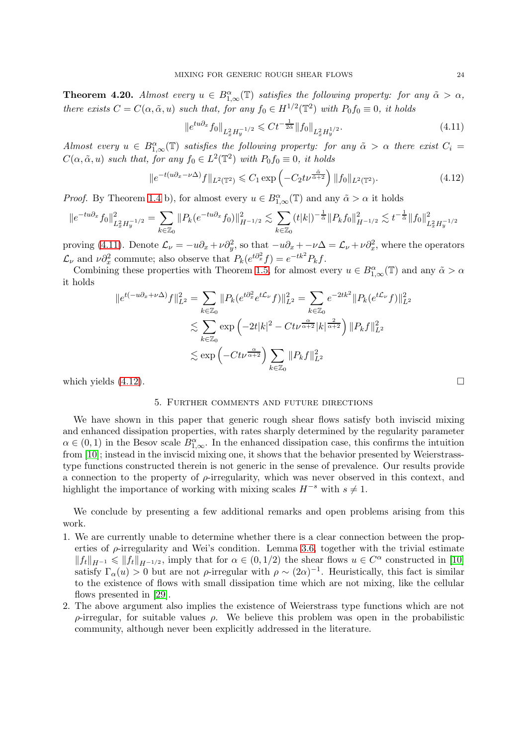**Theorem 4.20.** Almost every  $u \in B^{\alpha}_{1,\infty}(\mathbb{T})$  satisfies the following property: for any  $\tilde{\alpha} > \alpha$ , there exists  $C = C(\alpha, \tilde{\alpha}, u)$  such that, for any  $f_0 \in H^{1/2}(\mathbb{T}^2)$  with  $P_0 f_0 \equiv 0$ , it holds

<span id="page-23-1"></span>
$$
\|e^{tu\partial_x} f_0\|_{L^2_x H^{-1/2}_y} \leq C t^{-\frac{1}{2\tilde{\alpha}}} \|f_0\|_{L^2_x H^{1/2}_y}.
$$
\n(4.11)

Almost every  $u \in B^{\alpha}_{1,\infty}(\mathbb{T})$  satisfies the following property: for any  $\tilde{\alpha} > \alpha$  there exist  $C_i =$  $C(\alpha, \tilde{\alpha}, u)$  such that, for any  $f_0 \in L^2(\mathbb{T}^2)$  with  $P_0 f_0 \equiv 0$ , it holds

<span id="page-23-2"></span>
$$
\|e^{-t(u\partial_x - \nu \Delta)}f\|_{L^2(\mathbb{T}^2)} \leq C_1 \exp\left(-C_2 t \nu^{\frac{\tilde{\alpha}}{\tilde{\alpha}+2}}\right) \|f_0\|_{L^2(\mathbb{T}^2)}.\tag{4.12}
$$

*Proof.* By Theorem [1.4](#page-4-0) b), for almost every  $u \in B^{\alpha}_{1,\infty}(\mathbb{T})$  and any  $\tilde{\alpha} > \alpha$  it holds

$$
\|e^{-tu\partial_x}f_0\|_{L_x^2 H_y^{-1/2}}^2 = \sum_{k\in\mathbb{Z}_0} \|P_k(e^{-tu\partial_x}f_0)\|_{H^{-1/2}}^2 \lesssim \sum_{k\in\mathbb{Z}_0} (t|k|)^{-\frac{1}{\tilde{\alpha}}} \|P_kf_0\|_{H^{-1/2}}^2 \lesssim t^{-\frac{1}{\tilde{\alpha}}} \|f_0\|_{L_x^2 H_y^{-1/2}}^2
$$

proving [\(4.11\)](#page-23-1). Denote  $\mathcal{L}_{\nu} = -u\partial_x + \nu \partial_y^2$ , so that  $-u\partial_x + -\nu \Delta = \mathcal{L}_{\nu} + \nu \partial_x^2$ , where the operators  $\mathcal{L}_{\nu}$  and  $\nu \partial_x^2$  commute; also observe that  $P_k(e^{t\partial_x^2}f) = e^{-tk^2}P_kf$ .

Combining these properties with Theorem [1.5,](#page-5-0) for almost every  $u \in B^{\alpha}_{1,\infty}(\mathbb{T})$  and any  $\tilde{\alpha} > \alpha$ it holds

$$
||e^{t(-u\partial_x + \nu \Delta)}f||_{L^2}^2 = \sum_{k \in \mathbb{Z}_0} ||P_k(e^{t\partial_x^2} e^{t\mathcal{L}_\nu} f)||_{L^2}^2 = \sum_{k \in \mathbb{Z}_0} e^{-2tk^2} ||P_k(e^{t\mathcal{L}_\nu} f)||_{L^2}^2
$$
  

$$
\lesssim \sum_{k \in \mathbb{Z}_0} \exp\left(-2t|k|^2 - Ct\nu^{\frac{\alpha}{\alpha+2}}|k|^{\frac{2}{\alpha+2}}\right) ||P_k f||_{L^2}^2
$$
  

$$
\lesssim \exp\left(-Ct\nu^{\frac{\alpha}{\alpha+2}}\right) \sum_{k \in \mathbb{Z}_0} ||P_k f||_{L^2}^2
$$

<span id="page-23-0"></span>which yields  $(4.12)$ .

## 5. Further comments and future directions

We have shown in this paper that generic rough shear flows satisfy both inviscid mixing and enhanced dissipation properties, with rates sharply determined by the regularity parameter  $\alpha \in (0,1)$  in the Besov scale  $B_{1,\infty}^{\alpha}$ . In the enhanced dissipation case, this confirms the intuition from [\[10\]](#page-28-1); instead in the inviscid mixing one, it shows that the behavior presented by Weierstrasstype functions constructed therein is not generic in the sense of prevalence. Our results provide a connection to the property of  $\rho$ -irregularity, which was never observed in this context, and highlight the importance of working with mixing scales  $H^{-s}$  with  $s \neq 1$ .

We conclude by presenting a few additional remarks and open problems arising from this work.

- 1. We are currently unable to determine whether there is a clear connection between the properties of  $\rho$ -irregularity and Wei's condition. Lemma [3.6,](#page-10-5) together with the trivial estimate  $||f_t||_{H^{-1}} \le ||f_t||_{H^{-1/2}}$ , imply that for  $\alpha \in (0, 1/2)$  the shear flows  $u \in C^{\alpha}$  constructed in [\[10\]](#page-28-1) satisfy  $\Gamma_{\alpha}(u) > 0$  but are not  $\rho$ -irregular with  $\rho \sim (2\alpha)^{-1}$ . Heuristically, this fact is similar to the existence of flows with small dissipation time which are not mixing, like the cellular flows presented in [\[29\]](#page-29-18).
- 2. The above argument also implies the existence of Weierstrass type functions which are not ρ-irregular, for suitable values ρ. We believe this problem was open in the probabilistic community, although never been explicitly addressed in the literature.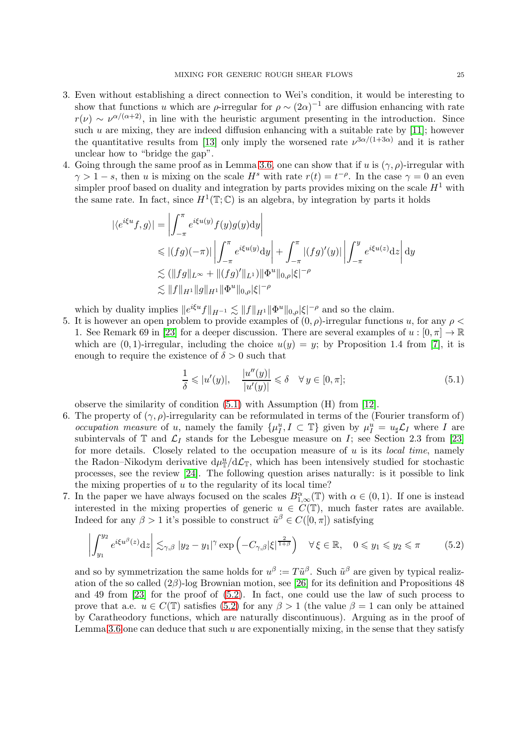- 3. Even without establishing a direct connection to Wei's condition, it would be interesting to show that functions u which are  $\rho$ -irregular for  $\rho \sim (2\alpha)^{-1}$  are diffusion enhancing with rate  $r(\nu) \sim \nu^{\alpha/(\alpha+2)}$ , in line with the heuristic argument presenting in the introduction. Since such  $u$  are mixing, they are indeed diffusion enhancing with a suitable rate by [\[11\]](#page-28-3); however the quantitative results from [\[13\]](#page-28-2) only imply the worsened rate  $\nu^{3\alpha/(1+3\alpha)}$  and it is rather unclear how to "bridge the gap".
- 4. Going through the same proof as in Lemma [3.6,](#page-10-5) one can show that if u is  $(\gamma, \rho)$ -irregular with  $\gamma > 1 - s$ , then u is mixing on the scale  $H^s$  with rate  $r(t) = t^{-\rho}$ . In the case  $\gamma = 0$  an even simpler proof based on duality and integration by parts provides mixing on the scale  $H<sup>1</sup>$  with the same rate. In fact, since  $H^1(\mathbb{T}; \mathbb{C})$  is an algebra, by integration by parts it holds

$$
\begin{aligned} |\langle e^{i\xi u} f, g \rangle| &= \left| \int_{-\pi}^{\pi} e^{i\xi u(y)} f(y)g(y) \mathrm{d}y \right| \\ &\leqslant |(fg)(-\pi)| \left| \int_{-\pi}^{\pi} e^{i\xi u(y)} \mathrm{d}y \right| + \int_{-\pi}^{\pi} |(fg)'(y)| \left| \int_{-\pi}^{y} e^{i\xi u(z)} \mathrm{d}z \right| \mathrm{d}y \\ &\lesssim (\|fg\|_{L^{\infty}} + \|(fg)'\|_{L^{1}}) \|\Phi^{u}\|_{0,\rho} |\xi|^{-\rho} \\ &\lesssim \|f\|_{H^{1}} \|g\|_{H^{1}} \|\Phi^{u}\|_{0,\rho} |\xi|^{-\rho} \end{aligned}
$$

which by duality implies  $||e^{i\xi u}f||_{H^{-1}} \lesssim ||f||_{H^1} ||\Phi^u||_{0,\rho} |\xi|^{-\rho}$  and so the claim.

5. It is however an open problem to provide examples of  $(0, \rho)$ -irregular functions u, for any  $\rho$  < 1. See Remark 69 in [\[23\]](#page-29-15) for a deeper discussion. There are several examples of  $u : [0, \pi] \to \mathbb{R}$ which are  $(0, 1)$ -irregular, including the choice  $u(y) = y$ ; by Proposition 1.4 from [\[7\]](#page-28-13), it is enough to require the existence of  $\delta > 0$  such that

<span id="page-24-0"></span>
$$
\frac{1}{\delta} \leqslant |u'(y)|, \quad \frac{|u''(y)|}{|u'(y)|} \leqslant \delta \quad \forall \, y \in [0, \pi]; \tag{5.1}
$$

observe the similarity of condition [\(5.1\)](#page-24-0) with Assumption (H) from [\[12\]](#page-28-6).

- 6. The property of  $(\gamma, \rho)$ -irregularity can be reformulated in terms of the (Fourier transform of) occupation measure of u, namely the family  $\{\mu_I^u, I \subset \mathbb{T}\}$  given by  $\mu_I^u = u_\sharp \mathcal{L}_I$  where I are subintervals of  $\mathbb T$  and  $\mathcal L_I$  stands for the Lebesgue measure on I; see Section 2.3 from [\[23\]](#page-29-15) for more details. Closely related to the occupation measure of  $u$  is its *local time*, namely the Radon–Nikodym derivative  $d\mu_{\mathbb{T}}^u/d\mathcal{L}_{\mathbb{T}}$ , which has been intensively studied for stochastic processes, see the review [\[24\]](#page-29-19). The following question arises naturally: is it possible to link the mixing properties of  $u$  to the regularity of its local time?
- 7. In the paper we have always focused on the scales  $B_{1,\infty}^{\alpha}(\mathbb{T})$  with  $\alpha \in (0,1)$ . If one is instead interested in the mixing properties of generic  $u \in C(\mathbb{T})$ , much faster rates are available. Indeed for any  $\beta > 1$  it's possible to construct  $\tilde{u}^{\beta} \in C([0, \pi])$  satisfying

<span id="page-24-1"></span>
$$
\left| \int_{y_1}^{y_2} e^{i\xi u^\beta(z)} dz \right| \lesssim_{\gamma,\beta} |y_2 - y_1|^\gamma \exp\left( -C_{\gamma,\beta} |\xi|^{\frac{2}{1+\beta}} \right) \quad \forall \xi \in \mathbb{R}, \quad 0 \le y_1 \le y_2 \le \pi \tag{5.2}
$$

and so by symmetrization the same holds for  $u^{\beta} := T\tilde{u}^{\beta}$ . Such  $\tilde{u}^{\beta}$  are given by typical realization of the so called (2β)-log Brownian motion, see [\[26\]](#page-29-20) for its definition and Propositions 48 and 49 from [\[23\]](#page-29-15) for the proof of [\(5.2\)](#page-24-1). In fact, one could use the law of such process to prove that a.e.  $u \in C(\mathbb{T})$  satisfies [\(5.2\)](#page-24-1) for any  $\beta > 1$  (the value  $\beta = 1$  can only be attained by Caratheodory functions, which are naturally discontinuous). Arguing as in the proof of Lemma [3.6](#page-10-5) one can deduce that such  $u$  are exponentially mixing, in the sense that they satisfy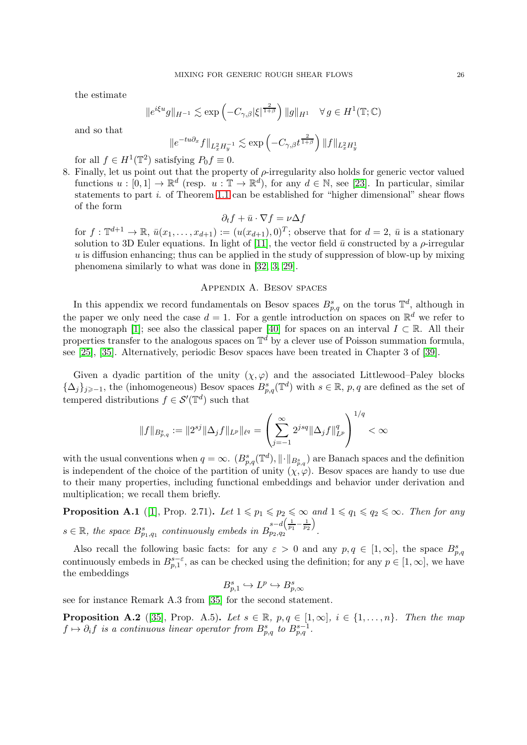the estimate

$$
||e^{i\xi u}g||_{H^{-1}} \lesssim \exp\left(-C_{\gamma,\beta}|\xi|^{\frac{2}{1+\beta}}\right) ||g||_{H^1} \quad \forall g \in H^1(\mathbb{T};\mathbb{C})
$$

and so that

$$
\|e^{-tu\partial_x}f\|_{L^2_x H^{-1}_y} \lesssim \exp\left(-C_{\gamma,\beta}t^{\frac{2}{1+\beta}}\right) \|f\|_{L^2_x H^1_y}
$$

for all  $f \in H^1(\mathbb{T}^2)$  satisfying  $P_0 f \equiv 0$ .

8. Finally, let us point out that the property of  $\rho$ -irregularity also holds for generic vector valued functions  $u : [0,1] \to \mathbb{R}^d$  (resp.  $u : \mathbb{T} \to \mathbb{R}^d$ ), for any  $d \in \mathbb{N}$ , see [\[23\]](#page-29-15). In particular, similar statements to part i. of Theorem [1.1](#page-1-0) can be established for "higher dimensional" shear flows of the form

$$
\partial_t f + \bar{u} \cdot \nabla f = \nu \Delta f
$$

for  $f: \mathbb{T}^{d+1} \to \mathbb{R}, \bar{u}(x_1, \ldots, x_{d+1}) := (u(x_{d+1}), 0)^T$ ; observe that for  $d = 2, \bar{u}$  is a stationary solution to 3D Euler equations. In light of [\[11\]](#page-28-3), the vector field  $\bar{u}$  constructed by a  $\rho$ -irregular  $u$  is diffusion enhancing; thus can be applied in the study of suppression of blow-up by mixing phenomena similarly to what was done in [\[32,](#page-29-21) [3,](#page-28-17) [29\]](#page-29-18).

## Appendix A. Besov spaces

<span id="page-25-0"></span>In this appendix we record fundamentals on Besov spaces  $B_{p,q}^s$  on the torus  $\mathbb{T}^d$ , although in the paper we only need the case  $d = 1$ . For a gentle introduction on spaces on  $\mathbb{R}^d$  we refer to the monograph [\[1\]](#page-28-18); see also the classical paper [\[40\]](#page-29-22) for spaces on an interval  $I \subset \mathbb{R}$ . All their properties transfer to the analogous spaces on  $\mathbb{T}^d$  by a clever use of Poisson summation formula, see [\[25\]](#page-29-23), [\[35\]](#page-29-24). Alternatively, periodic Besov spaces have been treated in Chapter 3 of [\[39\]](#page-29-25).

Given a dyadic partition of the unity  $(\chi, \varphi)$  and the associated Littlewood–Paley blocks  ${\{\Delta_j\}_{j\geqslant -1}}$ , the (inhomogeneous) Besov spaces  $B^s_{p,q}(\mathbb{T}^d)$  with  $s \in \mathbb{R}$ , p, q are defined as the set of tempered distributions  $f \in \mathcal{S}'(\mathbb{T}^d)$  such that

$$
||f||_{B^{s}_{p,q}} := ||2^{sj}||\Delta_j f||_{L^p}||_{\ell^q} = \left(\sum_{j=-1}^{\infty} 2^{jsq}||\Delta_j f||_{L^p}^q\right)^{1/q} < \infty
$$

with the usual conventions when  $q = \infty$ .  $(B_{p,q}^s(\mathbb{T}^d), \|\cdot\|_{B_{p,q}^s})$  are Banach spaces and the definition is independent of the choice of the partition of unity  $(\chi, \varphi)$ . Besov spaces are handy to use due to their many properties, including functional embeddings and behavior under derivation and multiplication; we recall them briefly.

**Proposition A.1** ([\[1\]](#page-28-18), Prop. 2.71). Let  $1 \leq p_1 \leq p_2 \leq \infty$  and  $1 \leq q_1 \leq q_2 \leq \infty$ . Then for any  $s \in \mathbb{R}$ , the space  $B^{s}_{p_1,q_1}$  continuously embeds in  $B^{s-d\left(\frac{1}{p_1}-\frac{1}{p_2}\right)}_{p_2,q_2}$  $p_2,q_2 \qquad p_1 \qquad p_2$ .

Also recall the following basic facts: for any  $\varepsilon > 0$  and any  $p, q \in [1, \infty]$ , the space  $B_{p,q}^s$ continuously embeds in  $B_{p,1}^{s-\varepsilon}$ , as can be checked using the definition; for any  $p \in [1,\infty]$ , we have the embeddings

$$
B_{p,1}^s\hookrightarrow L^p\hookrightarrow B_{p,\infty}^s
$$

see for instance Remark A.3 from [\[35\]](#page-29-24) for the second statement.

<span id="page-25-1"></span>**Proposition A.2** ([\[35\]](#page-29-24), Prop. A.5). Let  $s \in \mathbb{R}$ ,  $p, q \in [1, \infty]$ ,  $i \in \{1, \ldots, n\}$ . Then the map  $f \mapsto \partial_i f$  is a continuous linear operator from  $B^s_{p,q}$  to  $B^{s-1}_{p,q}$ .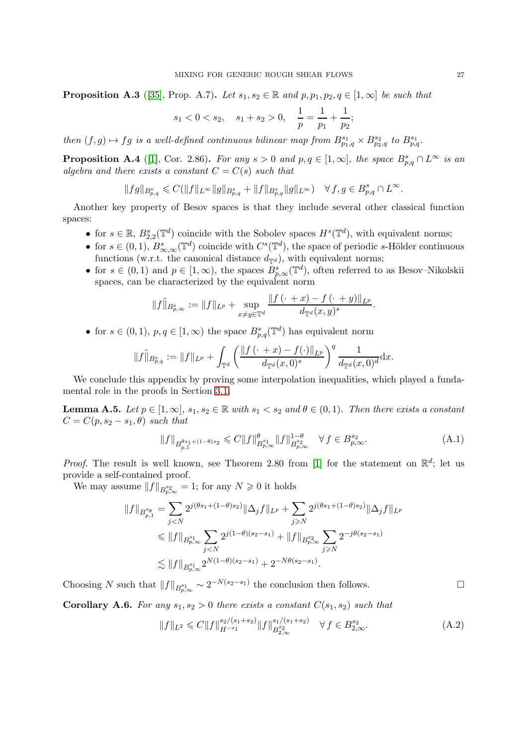<span id="page-26-2"></span>**Proposition A.3** ([\[35\]](#page-29-24), Prop. A.7). Let  $s_1, s_2 \in \mathbb{R}$  and  $p, p_1, p_2, q \in [1, \infty]$  be such that

$$
s_1 < 0 < s_2
$$
,  $s_1 + s_2 > 0$ ,  $\frac{1}{p} = \frac{1}{p_1} + \frac{1}{p_2}$ ;

then  $(f, g) \mapsto fg$  is a well-defined continuous bilinear map from  $B^{s_1}_{p_1,q} \times B^{s_2}_{p_2,q}$  to  $B^{s_1}_{p,q}$ .

<span id="page-26-0"></span>**Proposition A.4** ([\[1\]](#page-28-18), Cor. 2.86). For any  $s > 0$  and  $p, q \in [1, \infty]$ , the space  $B_{p,q}^s \cap L^{\infty}$  is an algebra and there exists a constant  $C = C(s)$  such that

$$
\|fg\|_{B^{s}_{p,q}}\leqslant C(\|f\|_{L^{\infty}}\|g\|_{B^{s}_{p,q}}+\|f\|_{B^{s}_{p,q}}\|g\|_{L^{\infty}}) \quad \forall\, f,g\in B^{s}_{p,q}\cap L^{\infty}.
$$

Another key property of Besov spaces is that they include several other classical function spaces:

- for  $s \in \mathbb{R}$ ,  $B_{2,2}^{s}(\mathbb{T}^d)$  coincide with the Sobolev spaces  $H^s(\mathbb{T}^d)$ , with equivalent norms;
- for  $s \in (0, 1)$ ,  $B^s_{\infty,\infty}(\mathbb{T}^d)$  coincide with  $C^s(\mathbb{T}^d)$ , the space of periodic s-Hölder continuous functions (w.r.t. the canonical distance  $d_{\mathbb{T}^d}$ ), with equivalent norms;
- for  $s \in (0,1)$  and  $p \in [1,\infty)$ , the spaces  $B_{p,\infty}^s(\mathbb{T}^d)$ , often referred to as Besov–Nikolskii spaces, can be characterized by the equivalent norm

$$
||f||_{B_{p,\infty}^s} := ||f||_{L^p} + \sup_{x \neq y \in \mathbb{T}^d} \frac{||f(\cdot + x) - f(\cdot + y)||_{L^p}}{d_{\mathbb{T}^d}(x,y)^s}.
$$

• for  $s \in (0,1)$ ,  $p, q \in [1,\infty)$  the space  $B_{p,q}^s(\mathbb{T}^d)$  has equivalent norm

$$
||f||_{B_{p,q}^s} := ||f||_{L^p} + \int_{\mathbb{T}^d} \left( \frac{||f(\cdot+x) - f(\cdot)||_{L^p}}{d_{\mathbb{T}^d}(x,0)^s} \right)^q \frac{1}{d_{\mathbb{T}^d}(x,0)^d} dx.
$$

We conclude this appendix by proving some interpolation inequalities, which played a fundamental role in the proofs in Section [3.1.](#page-8-1)

<span id="page-26-3"></span>**Lemma A.5.** Let  $p \in [1,\infty]$ ,  $s_1, s_2 \in \mathbb{R}$  with  $s_1 < s_2$  and  $\theta \in (0,1)$ . Then there exists a constant  $C = C(p, s_2 - s_1, \theta)$  such that

$$
||f||_{B_{p,1}^{\theta s_1 + (1-\theta)s_2}} \leqslant C||f||_{B_{p,\infty}^{s_1}}^{\theta} ||f||_{B_{p,\infty}^{s_2}}^{1-\theta} \quad \forall f \in B_{p,\infty}^{s_2}.
$$
 (A.1)

*Proof.* The result is well known, see Theorem 2.80 from [\[1\]](#page-28-18) for the statement on  $\mathbb{R}^d$ ; let us provide a self-contained proof.

We may assume  $||f||_{B^{s_2}_{p,\infty}} = 1$ ; for any  $N \geq 0$  it holds

$$
||f||_{B_{p,1}^{s_{\theta}}} = \sum_{j  
\n
$$
\leqslant ||f||_{B_{p,\infty}^{s_1}} \sum_{j  
\n
$$
\lesssim ||f||_{B_{p,\infty}^{s_1}} 2^{N(1-\theta)(s_2-s_1)} + 2^{-N\theta(s_2-s_1)}.
$$
$$
$$

Choosing N such that  $||f||_{B^{s_1}_{p,\infty}} \sim 2^{-N(s_2-s_1)}$  the conclusion then follows.

<span id="page-26-1"></span>Corollary A.6. For any  $s_1, s_2 > 0$  there exists a constant  $C(s_1, s_2)$  such that

$$
||f||_{L^{2}} \leq C||f||_{H^{-s_1}}^{s_2/(s_1+s_2)} ||f||_{B^{s_2}_{2,\infty}}^{s_1/(s_1+s_2)} \quad \forall f \in B^{s_2}_{2,\infty}.
$$
 (A.2)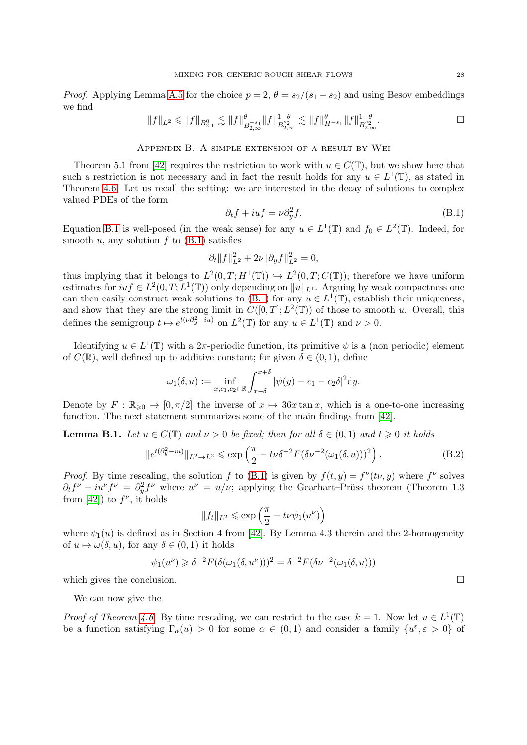*Proof.* Applying Lemma [A.5](#page-26-3) for the choice  $p = 2$ ,  $\theta = s_2/(s_1 - s_2)$  and using Besov embeddings we find

$$
||f||_{L^2} \le ||f||_{B_{2,1}^0} \lesssim ||f||_{B_{2,\infty}^{-s_1}}^{\theta} ||f||_{B_{2,\infty}^{s_2}}^{1-\theta} \lesssim ||f||_{H^{-s_1}}^{\theta} ||f||_{B_{2,\infty}^{s_2}}^{1-\theta}.
$$

## Appendix B. A simple extension of a result by Wei

<span id="page-27-0"></span>Theorem 5.1 from [\[42\]](#page-29-2) requires the restriction to work with  $u \in C(\mathbb{T})$ , but we show here that such a restriction is not necessary and in fact the result holds for any  $u \in L^1(\mathbb{T})$ , as stated in Theorem [4.6.](#page-16-3) Let us recall the setting: we are interested in the decay of solutions to complex valued PDEs of the form

<span id="page-27-1"></span>
$$
\partial_t f + iuf = \nu \partial_y^2 f. \tag{B.1}
$$

Equation [B.1](#page-27-1) is well-posed (in the weak sense) for any  $u \in L^1(\mathbb{T})$  and  $f_0 \in L^2(\mathbb{T})$ . Indeed, for smooth u, any solution f to  $(B.1)$  satisfies

$$
\partial_t \|f\|_{L^2}^2 + 2\nu \|\partial_y f\|_{L^2}^2 = 0,
$$

thus implying that it belongs to  $L^2(0,T;H^1(\mathbb{T})) \hookrightarrow L^2(0,T;C(\mathbb{T}))$ ; therefore we have uniform estimates for  $int \in L^2(0,T;L^1(\mathbb{T}))$  only depending on  $||u||_{L^1}$ . Arguing by weak compactness one can then easily construct weak solutions to  $(B.1)$  for any  $u \in L^1(\mathbb{T})$ , establish their uniqueness, and show that they are the strong limit in  $C([0,T];L^2(\mathbb{T}))$  of those to smooth u. Overall, this defines the semigroup  $t \mapsto e^{t(\nu \partial_y^2 - iu)}$  on  $L^2(\mathbb{T})$  for any  $u \in L^1(\mathbb{T})$  and  $\nu > 0$ .

Identifying  $u \in L^1(\mathbb{T})$  with a  $2\pi$ -periodic function, its primitive  $\psi$  is a (non periodic) element of  $C(\mathbb{R})$ , well defined up to additive constant; for given  $\delta \in (0,1)$ , define

$$
\omega_1(\delta, u) := \inf_{x, c_1, c_2 \in \mathbb{R}} \int_{x-\delta}^{x+\delta} |\psi(y) - c_1 - c_2 \delta|^2 dy.
$$

Denote by  $F : \mathbb{R}_{\geq 0} \to [0, \pi/2]$  the inverse of  $x \mapsto 36x \tan x$ , which is a one-to-one increasing function. The next statement summarizes some of the main findings from [\[42\]](#page-29-2).

<span id="page-27-2"></span>**Lemma B.1.** Let  $u \in C(\mathbb{T})$  and  $v > 0$  be fixed; then for all  $\delta \in (0,1)$  and  $t \geq 0$  it holds

$$
||e^{t(\partial_y^2 - iu)}||_{L^2 \to L^2} \le \exp\left(\frac{\pi}{2} - t\nu\delta^{-2} F(\delta\nu^{-2}(\omega_1(\delta, u)))^2\right).
$$
 (B.2)

*Proof.* By time rescaling, the solution f to [\(B.1\)](#page-27-1) is given by  $f(t, y) = f^{\nu}(t\nu, y)$  where  $f^{\nu}$  solves  $\partial_t f^{\nu} + i u^{\nu} f^{\nu} = \partial_y^2 f^{\nu}$  where  $u^{\nu} = u/\nu$ ; applying the Gearhart–Prüss theorem (Theorem 1.3) from [\[42\]](#page-29-2)) to  $f^{\nu}$ , it holds

$$
||f_t||_{L^2} \leqslant \exp\left(\frac{\pi}{2} - t\nu\psi_1(u^{\nu})\right)
$$

where  $\psi_1(u)$  is defined as in Section 4 from [\[42\]](#page-29-2). By Lemma 4.3 therein and the 2-homogeneity of  $u \mapsto \omega(\delta, u)$ , for any  $\delta \in (0, 1)$  it holds

$$
\psi_1(u^{\nu}) \geq \delta^{-2} F(\delta(\omega_1(\delta, u^{\nu})))^2 = \delta^{-2} F(\delta \nu^{-2}(\omega_1(\delta, u)))
$$

which gives the conclusion.  $\Box$ 

We can now give the

*Proof of Theorem [4.6.](#page-16-3)* By time rescaling, we can restrict to the case  $k = 1$ . Now let  $u \in L^1(\mathbb{T})$ be a function satisfying  $\Gamma_{\alpha}(u) > 0$  for some  $\alpha \in (0,1)$  and consider a family  $\{u^{\varepsilon}, \varepsilon > 0\}$  of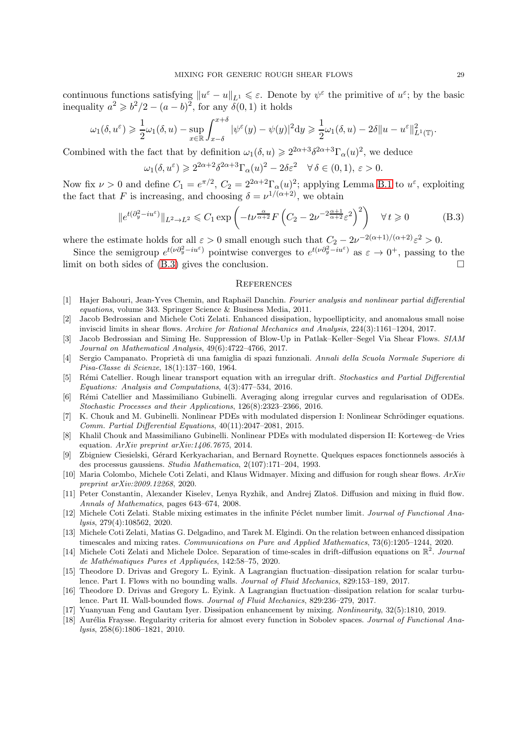continuous functions satisfying  $||u^{\varepsilon} - u||_{L^1} \leq \varepsilon$ . Denote by  $\psi^{\varepsilon}$  the primitive of  $u^{\varepsilon}$ ; by the basic inequality  $a^2 \geq b^2/2 - (a - b)^2$ , for any  $\delta(0, 1)$  it holds

$$
\omega_1(\delta, u^{\varepsilon}) \geq \frac{1}{2}\omega_1(\delta, u) - \sup_{x \in \mathbb{R}} \int_{x-\delta}^{x+\delta} |\psi^{\varepsilon}(y) - \psi(y)|^2 \mathrm{d}y \geq \frac{1}{2}\omega_1(\delta, u) - 2\delta \|u - u^{\varepsilon}\|_{L^1(\mathbb{T})}^2.
$$

Combined with the fact that by definition  $\omega_1(\delta, u) \geq 2^{2\alpha+3} \delta^{2\alpha+3} \Gamma_\alpha(u)^2$ , we deduce

$$
\omega_1(\delta, u^{\varepsilon}) \geqslant 2^{2\alpha+2} \delta^{2\alpha+3} \Gamma_{\alpha}(u)^2 - 2\delta \varepsilon^2 \quad \forall \, \delta \in (0, 1), \, \varepsilon > 0.
$$

Now fix  $\nu > 0$  and define  $C_1 = e^{\pi/2}$ ,  $C_2 = 2^{2\alpha+2} \Gamma_\alpha(u)^2$ ; applying Lemma [B.1](#page-27-2) to  $u^{\varepsilon}$ , exploiting the fact that F is increasing, and choosing  $\delta = \nu^{1/(\alpha+2)}$ , we obtain

<span id="page-28-19"></span>
$$
\|e^{t(\partial_y^2 - iu^{\varepsilon})}\|_{L^2 \to L^2} \leq C_1 \exp\left(-t\nu^{\frac{\alpha}{\alpha+2}} F\left(C_2 - 2\nu^{-2\frac{\alpha+1}{\alpha+2}} \varepsilon^2\right)^2\right) \quad \forall \, t \geq 0 \tag{B.3}
$$

where the estimate holds for all  $\varepsilon > 0$  small enough such that  $C_2 - 2\nu^{-2(\alpha+1)/(\alpha+2)}\varepsilon^2 > 0$ .

Since the semigroup  $e^{t(\nu \partial_y^2 - i u^{\varepsilon})}$  pointwise converges to  $e^{t(\nu \partial_y^2 - i u^{\varepsilon})}$  as  $\varepsilon \to 0^+$ , passing to the limit on both sides of  $(B.3)$  gives the conclusion.

### <span id="page-28-0"></span>**REFERENCES**

- <span id="page-28-18"></span>[1] Hajer Bahouri, Jean-Yves Chemin, and Raphaël Danchin. Fourier analysis and nonlinear partial differential equations, volume 343. Springer Science & Business Media, 2011.
- <span id="page-28-5"></span>[2] Jacob Bedrossian and Michele Coti Zelati. Enhanced dissipation, hypoellipticity, and anomalous small noise inviscid limits in shear flows. Archive for Rational Mechanics and Analysis, 224(3):1161–1204, 2017.
- <span id="page-28-17"></span>[3] Jacob Bedrossian and Siming He. Suppression of Blow-Up in Patlak–Keller–Segel Via Shear Flows. SIAM Journal on Mathematical Analysis, 49(6):4722–4766, 2017.
- <span id="page-28-16"></span>[4] Sergio Campanato. Proprietà di una famiglia di spazi funzionali. Annali della Scuola Normale Superiore di Pisa-Classe di Scienze, 18(1):137–160, 1964.
- <span id="page-28-15"></span>[5] Rémi Catellier. Rough linear transport equation with an irregular drift. Stochastics and Partial Differential Equations: Analysis and Computations, 4(3):477–534, 2016.
- <span id="page-28-12"></span>[6] R´emi Catellier and Massimiliano Gubinelli. Averaging along irregular curves and regularisation of ODEs. Stochastic Processes and their Applications, 126(8):2323–2366, 2016.
- <span id="page-28-13"></span>[7] K. Chouk and M. Gubinelli. Nonlinear PDEs with modulated dispersion I: Nonlinear Schrödinger equations. Comm. Partial Differential Equations, 40(11):2047–2081, 2015.
- <span id="page-28-14"></span>[8] Khalil Chouk and Massimiliano Gubinelli. Nonlinear PDEs with modulated dispersion II: Korteweg–de Vries equation. ArXiv preprint arXiv:1406.7675, 2014.
- <span id="page-28-11"></span>[9] Zbigniew Ciesielski, Gérard Kerkyacharian, and Bernard Roynette. Quelques espaces fonctionnels associés à des processus gaussiens. Studia Mathematica, 2(107):171–204, 1993.
- <span id="page-28-1"></span>[10] Maria Colombo, Michele Coti Zelati, and Klaus Widmayer. Mixing and diffusion for rough shear flows.  $ArXiv$ preprint arXiv:2009.12268, 2020.
- <span id="page-28-3"></span>[11] Peter Constantin, Alexander Kiselev, Lenya Ryzhik, and Andrej Zlatoš. Diffusion and mixing in fluid flow. Annals of Mathematics, pages 643–674, 2008.
- <span id="page-28-6"></span>[12] Michele Coti Zelati. Stable mixing estimates in the infinite Péclet number limit. Journal of Functional Analysis, 279(4):108562, 2020.
- <span id="page-28-2"></span>[13] Michele Coti Zelati, Matias G. Delgadino, and Tarek M. Elgindi. On the relation between enhanced dissipation timescales and mixing rates. Communications on Pure and Applied Mathematics, 73(6):1205–1244, 2020.
- <span id="page-28-7"></span>[14] Michele Coti Zelati and Michele Dolce. Separation of time-scales in drift-diffusion equations on  $\mathbb{R}^2$ . Journal de Mathématiques Pures et Appliquées, 142:58–75, 2020.
- <span id="page-28-8"></span>[15] Theodore D. Drivas and Gregory L. Eyink. A Lagrangian fluctuation–dissipation relation for scalar turbulence. Part I. Flows with no bounding walls. Journal of Fluid Mechanics, 829:153–189, 2017.
- <span id="page-28-9"></span>[16] Theodore D. Drivas and Gregory L. Eyink. A Lagrangian fluctuation–dissipation relation for scalar turbulence. Part II. Wall-bounded flows. Journal of Fluid Mechanics, 829:236–279, 2017.
- <span id="page-28-4"></span>[17] Yuanyuan Feng and Gautam Iyer. Dissipation enhancement by mixing. Nonlinearity, 32(5):1810, 2019.
- <span id="page-28-10"></span>[18] Aurélia Fraysse. Regularity criteria for almost every function in Sobolev spaces. Journal of Functional Analysis, 258(6):1806–1821, 2010.